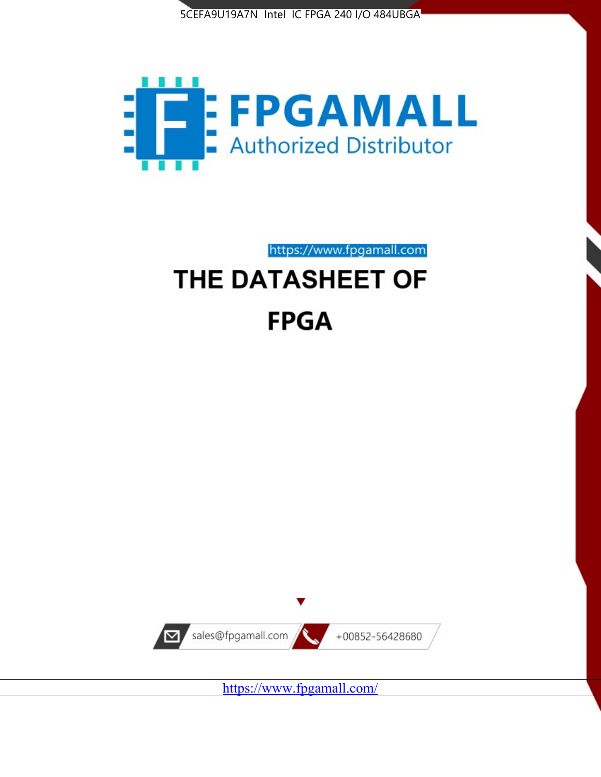



https://www.fpgamall.com

# THE DATASHEET OF **FPGA**



<https://www.fpgamall.com/>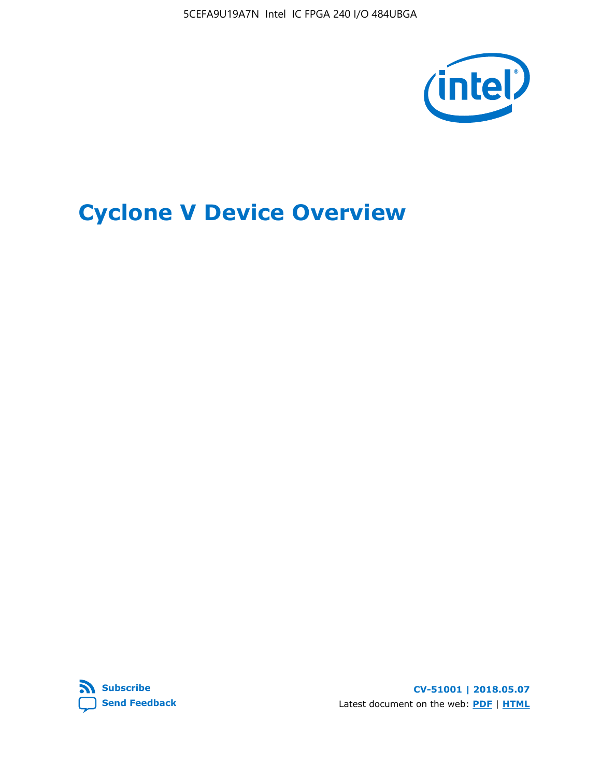5CEFA9U19A7N Intel IC FPGA 240 I/O 484UBGA



# **Cyclone V Device Overview**



**CV-51001 | 2018.05.07** Latest document on the web: **[PDF](https://www.altera.com/en_US/pdfs/literature/hb/cyclone-v/cv_51001.pdf)** | **[HTML](https://www.altera.com/documentation/sam1403480548153.html)**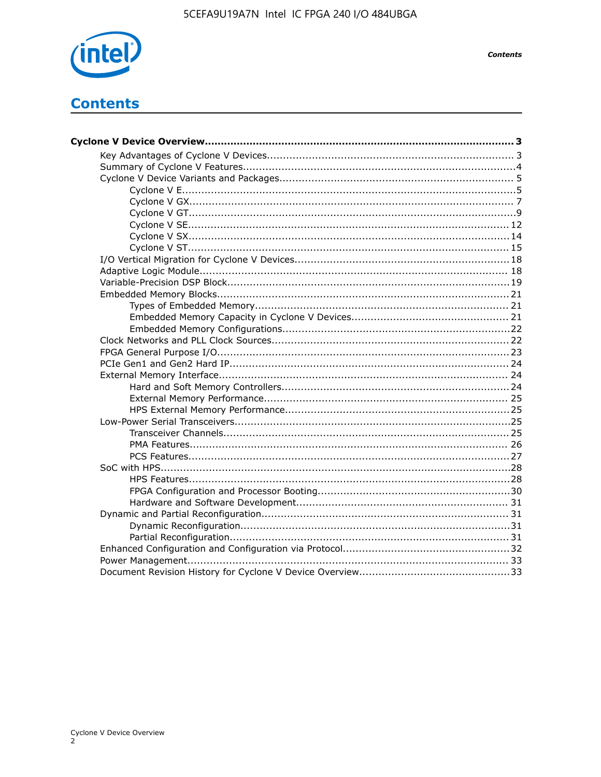

# **Contents**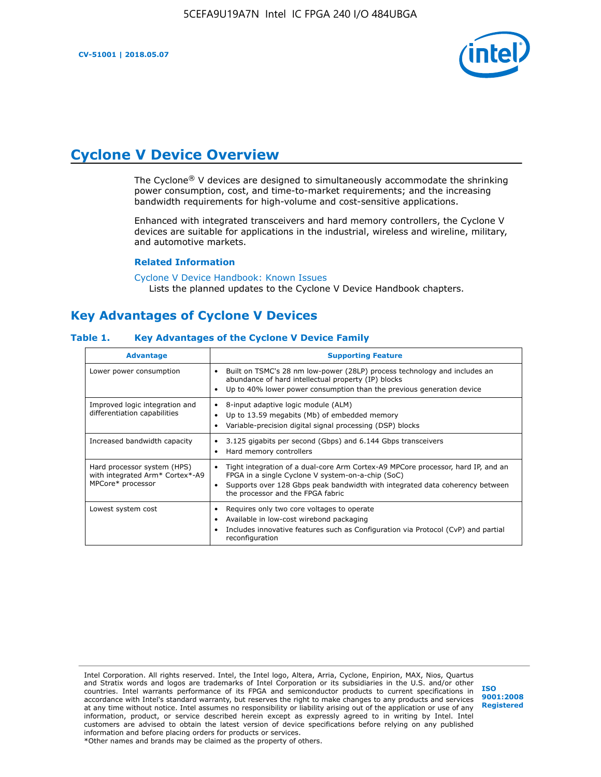

# **Cyclone V Device Overview**

The Cyclone® V devices are designed to simultaneously accommodate the shrinking power consumption, cost, and time-to-market requirements; and the increasing bandwidth requirements for high-volume and cost-sensitive applications.

Enhanced with integrated transceivers and hard memory controllers, the Cyclone V devices are suitable for applications in the industrial, wireless and wireline, military, and automotive markets.

#### **Related Information**

#### [Cyclone V Device Handbook: Known Issues](https://www.altera.com/support/support-resources/knowledge-base/solutions/rd12152011_347.html) Lists the planned updates to the Cyclone V Device Handbook chapters.

### **Key Advantages of Cyclone V Devices**

#### **Table 1. Key Advantages of the Cyclone V Device Family**

| <b>Advantage</b>                                                                    | <b>Supporting Feature</b>                                                                                                                                                                                                                                                    |
|-------------------------------------------------------------------------------------|------------------------------------------------------------------------------------------------------------------------------------------------------------------------------------------------------------------------------------------------------------------------------|
| Lower power consumption                                                             | Built on TSMC's 28 nm low-power (28LP) process technology and includes an<br>٠<br>abundance of hard intellectual property (IP) blocks<br>Up to 40% lower power consumption than the previous generation device<br>٠                                                          |
| Improved logic integration and<br>differentiation capabilities                      | 8-input adaptive logic module (ALM)<br>٠<br>Up to 13.59 megabits (Mb) of embedded memory<br>٠<br>Variable-precision digital signal processing (DSP) blocks<br>٠                                                                                                              |
| Increased bandwidth capacity                                                        | 3.125 gigabits per second (Gbps) and 6.144 Gbps transceivers<br>٠<br>Hard memory controllers<br>٠                                                                                                                                                                            |
| Hard processor system (HPS)<br>with integrated Arm* Cortex*-A9<br>MPCore* processor | Tight integration of a dual-core Arm Cortex-A9 MPCore processor, hard IP, and an<br>$\bullet$<br>FPGA in a single Cyclone V system-on-a-chip (SoC)<br>Supports over 128 Gbps peak bandwidth with integrated data coherency between<br>٠<br>the processor and the FPGA fabric |
| Lowest system cost                                                                  | Requires only two core voltages to operate<br>٠<br>Available in low-cost wirebond packaging<br>٠<br>Includes innovative features such as Configuration via Protocol (CvP) and partial<br>٠<br>reconfiguration                                                                |

Intel Corporation. All rights reserved. Intel, the Intel logo, Altera, Arria, Cyclone, Enpirion, MAX, Nios, Quartus and Stratix words and logos are trademarks of Intel Corporation or its subsidiaries in the U.S. and/or other countries. Intel warrants performance of its FPGA and semiconductor products to current specifications in accordance with Intel's standard warranty, but reserves the right to make changes to any products and services at any time without notice. Intel assumes no responsibility or liability arising out of the application or use of any information, product, or service described herein except as expressly agreed to in writing by Intel. Intel customers are advised to obtain the latest version of device specifications before relying on any published information and before placing orders for products or services. \*Other names and brands may be claimed as the property of others.

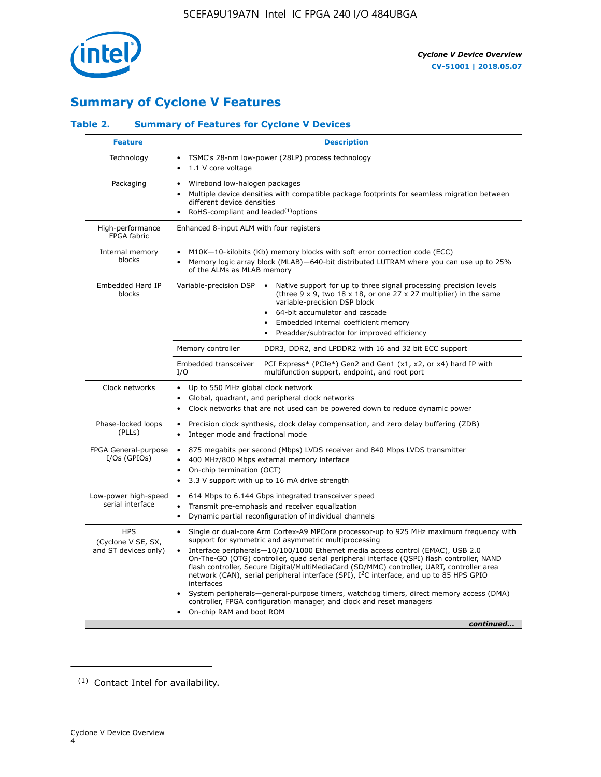

# **Summary of Cyclone V Features**

### **Table 2. Summary of Features for Cyclone V Devices**

| <b>Feature</b>                                           | <b>Description</b>                                                                                                                                                                                                                                                                                                                        |                                                                                                                                                                                                                                                                                                                                                                                                                                                                                                                                                                                                                                                                                                         |  |  |  |  |  |  |
|----------------------------------------------------------|-------------------------------------------------------------------------------------------------------------------------------------------------------------------------------------------------------------------------------------------------------------------------------------------------------------------------------------------|---------------------------------------------------------------------------------------------------------------------------------------------------------------------------------------------------------------------------------------------------------------------------------------------------------------------------------------------------------------------------------------------------------------------------------------------------------------------------------------------------------------------------------------------------------------------------------------------------------------------------------------------------------------------------------------------------------|--|--|--|--|--|--|
| Technology                                               | $\bullet$<br>1.1 V core voltage<br>$\bullet$                                                                                                                                                                                                                                                                                              | TSMC's 28-nm low-power (28LP) process technology                                                                                                                                                                                                                                                                                                                                                                                                                                                                                                                                                                                                                                                        |  |  |  |  |  |  |
| Packaging                                                | $\bullet$                                                                                                                                                                                                                                                                                                                                 | Wirebond low-halogen packages<br>Multiple device densities with compatible package footprints for seamless migration between<br>different device densities<br>RoHS-compliant and leaded $(1)$ options                                                                                                                                                                                                                                                                                                                                                                                                                                                                                                   |  |  |  |  |  |  |
| High-performance<br>FPGA fabric                          | Enhanced 8-input ALM with four registers                                                                                                                                                                                                                                                                                                  |                                                                                                                                                                                                                                                                                                                                                                                                                                                                                                                                                                                                                                                                                                         |  |  |  |  |  |  |
| Internal memory<br>blocks                                | of the ALMs as MLAB memory                                                                                                                                                                                                                                                                                                                | M10K-10-kilobits (Kb) memory blocks with soft error correction code (ECC)<br>Memory logic array block (MLAB)-640-bit distributed LUTRAM where you can use up to 25%                                                                                                                                                                                                                                                                                                                                                                                                                                                                                                                                     |  |  |  |  |  |  |
| Embedded Hard IP<br>blocks                               | Variable-precision DSP<br>Native support for up to three signal processing precision levels<br>(three $9 \times 9$ , two $18 \times 18$ , or one 27 x 27 multiplier) in the same<br>variable-precision DSP block<br>64-bit accumulator and cascade<br>Embedded internal coefficient memory<br>Preadder/subtractor for improved efficiency |                                                                                                                                                                                                                                                                                                                                                                                                                                                                                                                                                                                                                                                                                                         |  |  |  |  |  |  |
|                                                          | Memory controller                                                                                                                                                                                                                                                                                                                         | DDR3, DDR2, and LPDDR2 with 16 and 32 bit ECC support                                                                                                                                                                                                                                                                                                                                                                                                                                                                                                                                                                                                                                                   |  |  |  |  |  |  |
|                                                          | Embedded transceiver<br>I/O                                                                                                                                                                                                                                                                                                               | PCI Express* (PCIe*) Gen2 and Gen1 (x1, x2, or x4) hard IP with<br>multifunction support, endpoint, and root port                                                                                                                                                                                                                                                                                                                                                                                                                                                                                                                                                                                       |  |  |  |  |  |  |
| Clock networks                                           | Up to 550 MHz global clock network<br>$\bullet$<br>$\bullet$                                                                                                                                                                                                                                                                              | Global, quadrant, and peripheral clock networks<br>Clock networks that are not used can be powered down to reduce dynamic power                                                                                                                                                                                                                                                                                                                                                                                                                                                                                                                                                                         |  |  |  |  |  |  |
| Phase-locked loops<br>(PLLs)                             | $\bullet$<br>Integer mode and fractional mode<br>$\bullet$                                                                                                                                                                                                                                                                                | Precision clock synthesis, clock delay compensation, and zero delay buffering (ZDB)                                                                                                                                                                                                                                                                                                                                                                                                                                                                                                                                                                                                                     |  |  |  |  |  |  |
| FPGA General-purpose<br>$I/Os$ (GPIOs)                   | $\bullet$<br>$\bullet$<br>$\bullet$                                                                                                                                                                                                                                                                                                       | 875 megabits per second (Mbps) LVDS receiver and 840 Mbps LVDS transmitter<br>400 MHz/800 Mbps external memory interface<br>On-chip termination (OCT)<br>3.3 V support with up to 16 mA drive strength                                                                                                                                                                                                                                                                                                                                                                                                                                                                                                  |  |  |  |  |  |  |
| Low-power high-speed<br>serial interface                 | 614 Mbps to 6.144 Gbps integrated transceiver speed<br>$\bullet$<br>Transmit pre-emphasis and receiver equalization<br>$\bullet$<br>Dynamic partial reconfiguration of individual channels<br>$\bullet$                                                                                                                                   |                                                                                                                                                                                                                                                                                                                                                                                                                                                                                                                                                                                                                                                                                                         |  |  |  |  |  |  |
| <b>HPS</b><br>(Cyclone V SE, SX,<br>and ST devices only) | $\bullet$<br>$\bullet$<br>interfaces<br>On-chip RAM and boot ROM                                                                                                                                                                                                                                                                          | Single or dual-core Arm Cortex-A9 MPCore processor-up to 925 MHz maximum frequency with<br>support for symmetric and asymmetric multiprocessing<br>Interface peripherals-10/100/1000 Ethernet media access control (EMAC), USB 2.0<br>On-The-GO (OTG) controller, quad serial peripheral interface (QSPI) flash controller, NAND<br>flash controller, Secure Digital/MultiMediaCard (SD/MMC) controller, UART, controller area<br>network (CAN), serial peripheral interface (SPI), I <sup>2</sup> C interface, and up to 85 HPS GPIO<br>System peripherals—general-purpose timers, watchdog timers, direct memory access (DMA)<br>controller, FPGA configuration manager, and clock and reset managers |  |  |  |  |  |  |
|                                                          |                                                                                                                                                                                                                                                                                                                                           | continued                                                                                                                                                                                                                                                                                                                                                                                                                                                                                                                                                                                                                                                                                               |  |  |  |  |  |  |

<sup>(1)</sup> Contact Intel for availability.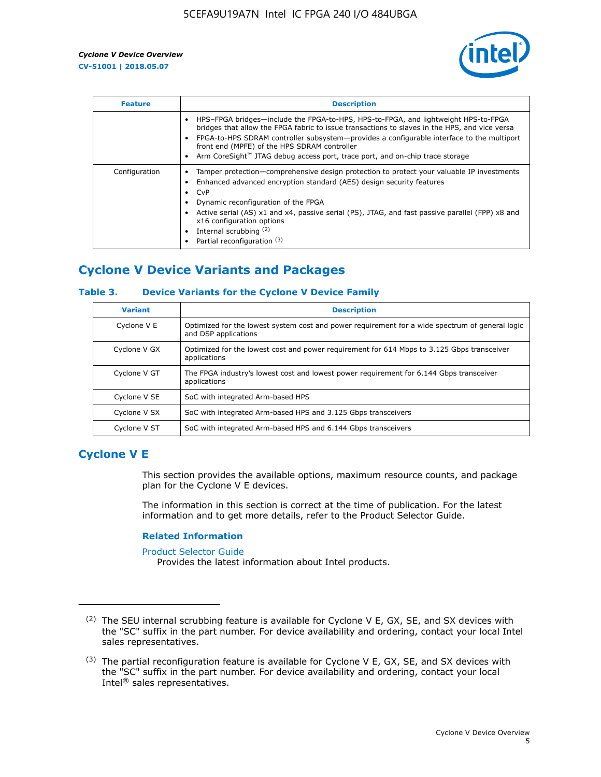

| <b>Feature</b> | <b>Description</b>                                                                                                                                                                                                                                                                                                                                                                                                    |
|----------------|-----------------------------------------------------------------------------------------------------------------------------------------------------------------------------------------------------------------------------------------------------------------------------------------------------------------------------------------------------------------------------------------------------------------------|
|                | HPS-FPGA bridges—include the FPGA-to-HPS, HPS-to-FPGA, and lightweight HPS-to-FPGA<br>bridges that allow the FPGA fabric to issue transactions to slaves in the HPS, and vice versa<br>FPGA-to-HPS SDRAM controller subsystem-provides a configurable interface to the multiport<br>front end (MPFE) of the HPS SDRAM controller<br>Arm CoreSight™ JTAG debug access port, trace port, and on-chip trace storage      |
| Configuration  | Tamper protection—comprehensive design protection to protect your valuable IP investments<br>Enhanced advanced encryption standard (AES) design security features<br>CvP<br>$\bullet$<br>Dynamic reconfiguration of the FPGA<br>Active serial (AS) x1 and x4, passive serial (PS), JTAG, and fast passive parallel (FPP) x8 and<br>x16 configuration options<br>Internal scrubbing (2)<br>Partial reconfiguration (3) |

# **Cyclone V Device Variants and Packages**

### **Table 3. Device Variants for the Cyclone V Device Family**

| <b>Variant</b> | <b>Description</b>                                                                                                      |
|----------------|-------------------------------------------------------------------------------------------------------------------------|
| Cyclone V E    | Optimized for the lowest system cost and power requirement for a wide spectrum of general logic<br>and DSP applications |
| Cyclone V GX   | Optimized for the lowest cost and power requirement for 614 Mbps to 3.125 Gbps transceiver<br>applications              |
| Cyclone V GT   | The FPGA industry's lowest cost and lowest power requirement for 6.144 Gbps transceiver<br>applications                 |
| Cyclone V SE   | SoC with integrated Arm-based HPS                                                                                       |
| Cyclone V SX   | SoC with integrated Arm-based HPS and 3.125 Gbps transceivers                                                           |
| Cyclone V ST   | SoC with integrated Arm-based HPS and 6.144 Gbps transceivers                                                           |

### **Cyclone V E**

This section provides the available options, maximum resource counts, and package plan for the Cyclone V E devices.

The information in this section is correct at the time of publication. For the latest information and to get more details, refer to the Product Selector Guide.

#### **Related Information**

[Product Selector Guide](https://www.altera.com/products/product-selector-guide.html)

Provides the latest information about Intel products.

<sup>(2)</sup> The SEU internal scrubbing feature is available for Cyclone V E, GX, SE, and SX devices with the "SC" suffix in the part number. For device availability and ordering, contact your local Intel sales representatives.

 $(3)$  The partial reconfiguration feature is available for Cyclone V E, GX, SE, and SX devices with the "SC" suffix in the part number. For device availability and ordering, contact your local Intel® sales representatives.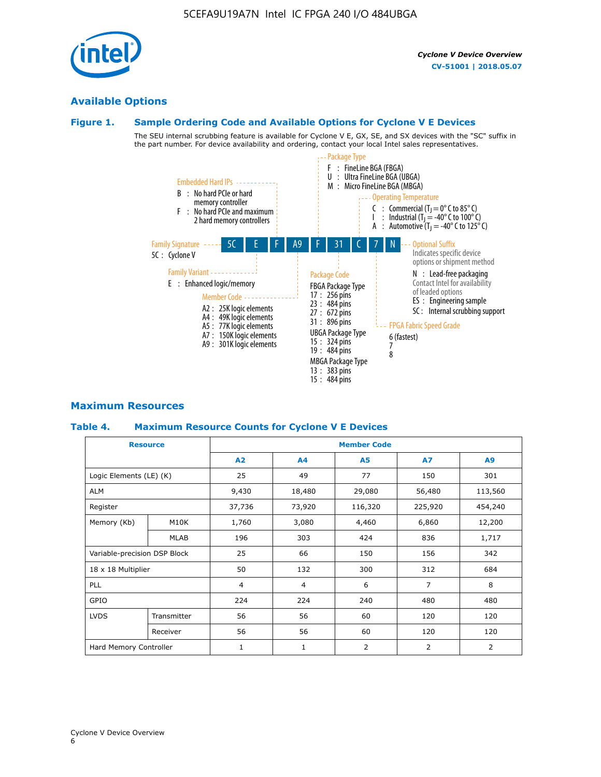## **Available Options**

### **Figure 1. Sample Ordering Code and Available Options for Cyclone V E Devices**

The SEU internal scrubbing feature is available for Cyclone V E, GX, SE, and SX devices with the "SC" suffix in the part number. For device availability and ordering, contact your local Intel sales representatives.



### **Maximum Resources**

### **Table 4. Maximum Resource Counts for Cyclone V E Devices**

|                              | <b>Resource</b> | <b>Member Code</b> |                |                |                |         |  |  |
|------------------------------|-----------------|--------------------|----------------|----------------|----------------|---------|--|--|
|                              |                 | A2                 | A <sub>4</sub> | <b>A5</b>      | <b>A7</b>      | A9      |  |  |
| Logic Elements (LE) (K)      |                 | 25                 | 49             | 77             | 150            | 301     |  |  |
| <b>ALM</b>                   |                 | 9,430              | 18,480         | 29,080         | 56,480         | 113,560 |  |  |
| Register                     |                 | 37,736             | 73,920         | 116,320        | 225,920        | 454,240 |  |  |
| Memory (Kb)                  | M10K            | 1,760              | 3,080          | 4,460          | 6,860          | 12,200  |  |  |
|                              | MLAB            | 196                | 303            | 424            | 836            | 1,717   |  |  |
| Variable-precision DSP Block |                 | 25                 | 66             | 150            | 156            | 342     |  |  |
| 18 x 18 Multiplier           |                 | 50                 | 132            | 300            | 312            | 684     |  |  |
| PLL                          |                 | $\overline{4}$     | 4              | 6              | $\overline{7}$ | 8       |  |  |
| GPIO                         |                 | 224                | 224            | 240            | 480            | 480     |  |  |
| <b>LVDS</b>                  | Transmitter     | 56                 | 56             | 60             | 120            | 120     |  |  |
|                              | Receiver        | 56                 | 56             | 60             | 120            | 120     |  |  |
| Hard Memory Controller       |                 | $\mathbf{1}$       | $\mathbf{1}$   | $\overline{2}$ | $\overline{2}$ | 2       |  |  |

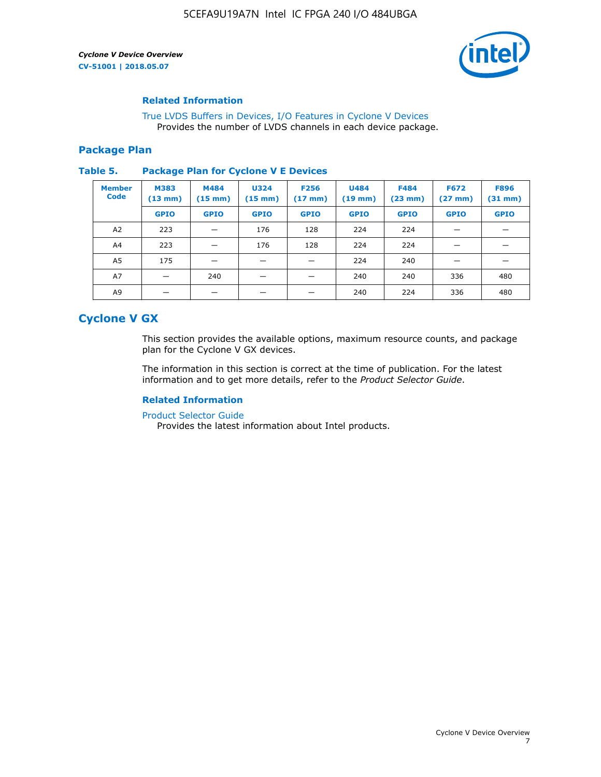

### **Related Information**

[True LVDS Buffers in Devices, I/O Features in Cyclone V Devices](https://www.altera.com/documentation/sam1403481100977.html#sam1403480885395) Provides the number of LVDS channels in each device package.

### **Package Plan**

#### **Table 5. Package Plan for Cyclone V E Devices**

| <b>Member</b><br><b>Code</b> | <b>M383</b><br>$(13 \text{ mm})$ | M484<br>$(15$ mm $)$ | <b>U324</b><br>$(15 \text{ mm})$ | <b>F256</b><br>$(17 \text{ mm})$ | <b>U484</b><br>$(19$ mm) | <b>F484</b><br>$(23$ mm $)$ | <b>F672</b><br>$(27 \, \text{mm})$ | <b>F896</b><br>$(31$ mm $)$ |
|------------------------------|----------------------------------|----------------------|----------------------------------|----------------------------------|--------------------------|-----------------------------|------------------------------------|-----------------------------|
|                              | <b>GPIO</b>                      | <b>GPIO</b>          | <b>GPIO</b>                      | <b>GPIO</b>                      | <b>GPIO</b>              | <b>GPIO</b>                 | <b>GPIO</b>                        | <b>GPIO</b>                 |
| A <sub>2</sub>               | 223                              |                      | 176                              | 128                              | 224                      | 224                         | –                                  |                             |
| A4                           | 223                              |                      | 176                              | 128                              | 224                      | 224                         | –                                  |                             |
| A <sub>5</sub>               | 175                              |                      |                                  |                                  | 224                      | 240                         |                                    |                             |
| A7                           |                                  | 240                  |                                  |                                  | 240                      | 240                         | 336                                | 480                         |
| A9                           |                                  |                      |                                  |                                  | 240                      | 224                         | 336                                | 480                         |

### **Cyclone V GX**

This section provides the available options, maximum resource counts, and package plan for the Cyclone V GX devices.

The information in this section is correct at the time of publication. For the latest information and to get more details, refer to the *Product Selector Guide*.

### **Related Information**

[Product Selector Guide](https://www.altera.com/products/product-selector-guide.html)

Provides the latest information about Intel products.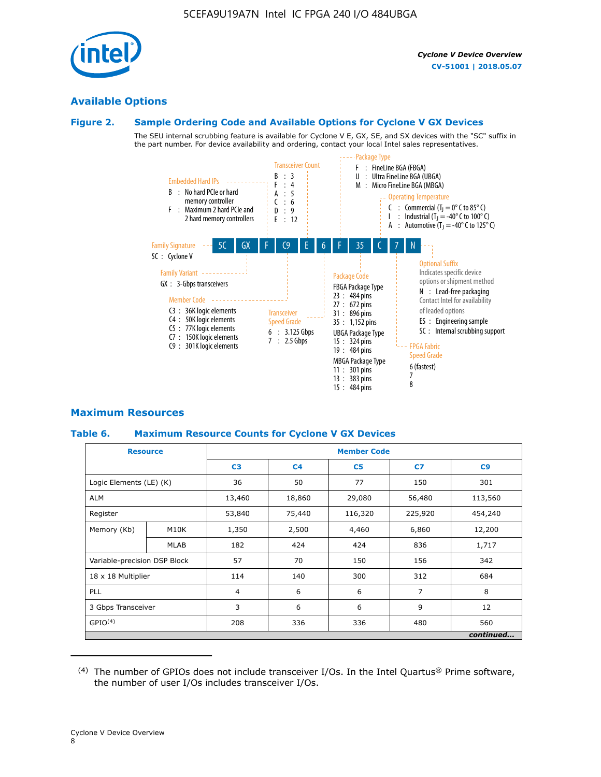

### **Available Options**

### **Figure 2. Sample Ordering Code and Available Options for Cyclone V GX Devices**

The SEU internal scrubbing feature is available for Cyclone V E, GX, SE, and SX devices with the "SC" suffix in the part number. For device availability and ordering, contact your local Intel sales representatives.



### **Maximum Resources**

### **Table 6. Maximum Resource Counts for Cyclone V GX Devices**

| <b>Resource</b>              |             | <b>Member Code</b> |                |                |                |           |  |
|------------------------------|-------------|--------------------|----------------|----------------|----------------|-----------|--|
|                              |             | C <sub>3</sub>     | C <sub>4</sub> | C <sub>5</sub> | C7             | C9        |  |
| Logic Elements (LE) (K)      |             | 36                 | 50             | 77             | 150            | 301       |  |
| <b>ALM</b>                   |             | 13,460             | 18,860         | 29,080         | 56,480         | 113,560   |  |
| Register                     |             |                    | 75,440         | 116,320        | 225,920        | 454,240   |  |
| Memory (Kb)                  | M10K        | 1,350              | 2,500          | 4,460          | 6,860          | 12,200    |  |
|                              | <b>MLAB</b> | 182                | 424            | 424            | 836            | 1,717     |  |
| Variable-precision DSP Block |             | 57                 | 70             | 150            | 156            | 342       |  |
| 18 x 18 Multiplier           |             | 114                | 140            | 300            | 312            | 684       |  |
| PLL                          |             | $\overline{4}$     | 6              | 6              | $\overline{7}$ | 8         |  |
| 3 Gbps Transceiver           |             | 3                  | 6              | 6              | 9              | 12        |  |
| GPIO <sup>(4)</sup>          |             | 208                | 336            | 336            | 480            | 560       |  |
|                              |             |                    |                |                |                | continued |  |

 $(4)$  The number of GPIOs does not include transceiver I/Os. In the Intel Quartus® Prime software, the number of user I/Os includes transceiver I/Os.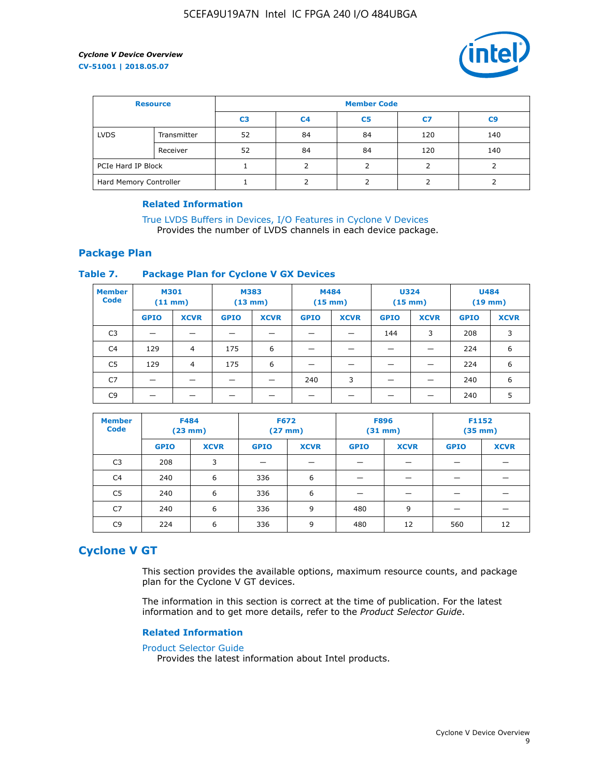

| <b>Resource</b>        |             | <b>Member Code</b> |                |                |     |                |  |  |
|------------------------|-------------|--------------------|----------------|----------------|-----|----------------|--|--|
|                        |             | C <sub>3</sub>     | C <sub>4</sub> | C <sub>5</sub> | C7  | C <sub>9</sub> |  |  |
| <b>LVDS</b>            | Transmitter | 52                 | 84             | 84             | 120 | 140            |  |  |
|                        | Receiver    | 52                 | 84             | 84             | 120 | 140            |  |  |
| PCIe Hard IP Block     |             |                    |                |                |     |                |  |  |
| Hard Memory Controller |             |                    | h              |                |     |                |  |  |

### **Related Information**

[True LVDS Buffers in Devices, I/O Features in Cyclone V Devices](https://www.altera.com/documentation/sam1403481100977.html#sam1403480885395) Provides the number of LVDS channels in each device package.

### **Package Plan**

### **Table 7. Package Plan for Cyclone V GX Devices**

| <b>Member</b><br><b>Code</b> | <b>M301</b><br>(11 mm)   |             | M383<br>$(13 \text{ mm})$ |             | M484        | $(15 \text{ mm})$ | <b>U324</b><br>$(15 \text{ mm})$ |             | <b>U484</b><br>$(19$ mm) |             |
|------------------------------|--------------------------|-------------|---------------------------|-------------|-------------|-------------------|----------------------------------|-------------|--------------------------|-------------|
|                              | <b>GPIO</b>              | <b>XCVR</b> | <b>GPIO</b>               | <b>XCVR</b> | <b>GPIO</b> | <b>XCVR</b>       | <b>GPIO</b>                      | <b>XCVR</b> | <b>GPIO</b>              | <b>XCVR</b> |
| C <sub>3</sub>               | $\overline{\phantom{0}}$ | _           |                           |             |             |                   | 144                              | 3           | 208                      | 3           |
| C <sub>4</sub>               | 129                      | 4           | 175                       | 6           |             |                   |                                  |             | 224                      | 6           |
| C5                           | 129                      | 4           | 175                       | 6           |             |                   |                                  |             | 224                      | 6           |
| C7                           |                          |             |                           |             | 240         | 3                 |                                  |             | 240                      | 6           |
| C <sub>9</sub>               |                          |             |                           |             |             |                   |                                  |             | 240                      | 5           |

| <b>Member</b><br><b>Code</b> | <b>F484</b> | $(23$ mm)   | <b>F672</b> | $(27$ mm $)$ | <b>F896</b><br>$(31 \text{ mm})$ |             | F1152<br>$(35 \text{ mm})$ |             |
|------------------------------|-------------|-------------|-------------|--------------|----------------------------------|-------------|----------------------------|-------------|
|                              | <b>GPIO</b> | <b>XCVR</b> | <b>GPIO</b> | <b>XCVR</b>  | <b>GPIO</b>                      | <b>XCVR</b> | <b>GPIO</b>                | <b>XCVR</b> |
| C <sub>3</sub>               | 208         | 3           |             |              |                                  |             |                            |             |
| C4                           | 240         | 6           | 336         | 6            |                                  |             |                            |             |
| C5                           | 240         | 6           | 336         | 6            |                                  |             |                            |             |
| C <sub>7</sub>               | 240         | 6           | 336         | 9            | 480                              | 9           |                            |             |
| C <sub>9</sub>               | 224         | 6           | 336         | 9            | 480                              | 12          | 560                        | 12          |

### **Cyclone V GT**

This section provides the available options, maximum resource counts, and package plan for the Cyclone V GT devices.

The information in this section is correct at the time of publication. For the latest information and to get more details, refer to the *Product Selector Guide*.

#### **Related Information**

#### [Product Selector Guide](https://www.altera.com/products/product-selector-guide.html)

Provides the latest information about Intel products.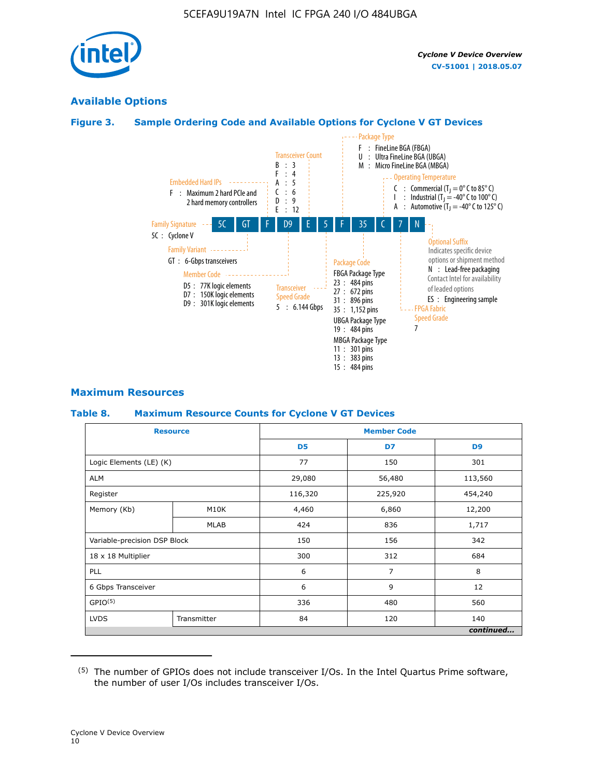

### **Available Options**

### **Figure 3. Sample Ordering Code and Available Options for Cyclone V GT Devices**



### **Maximum Resources**

#### **Table 8. Maximum Resource Counts for Cyclone V GT Devices**

|                              | <b>Resource</b> |                | <b>Member Code</b> |                |  |  |  |
|------------------------------|-----------------|----------------|--------------------|----------------|--|--|--|
|                              |                 | D <sub>5</sub> | D7                 | D <sub>9</sub> |  |  |  |
| Logic Elements (LE) (K)      |                 | 77             | 150                | 301            |  |  |  |
| <b>ALM</b>                   |                 | 29,080         | 56,480             | 113,560        |  |  |  |
| Register                     |                 | 116,320        | 225,920            | 454,240        |  |  |  |
| Memory (Kb)                  | M10K            | 4,460          | 6,860              | 12,200         |  |  |  |
|                              | MLAB            | 424            | 836                | 1,717          |  |  |  |
| Variable-precision DSP Block |                 | 150            | 156                | 342            |  |  |  |
| 18 x 18 Multiplier           |                 | 300            | 312                | 684            |  |  |  |
| PLL                          |                 | 6              | 7                  | 8              |  |  |  |
| 6 Gbps Transceiver           |                 | 6              | 9                  | 12             |  |  |  |
| GPIO <sup>(5)</sup>          |                 | 336            | 480                | 560            |  |  |  |
| <b>LVDS</b>                  | Transmitter     | 84             | 120                | 140            |  |  |  |
|                              |                 |                |                    | continued      |  |  |  |

<sup>(5)</sup> The number of GPIOs does not include transceiver I/Os. In the Intel Quartus Prime software, the number of user I/Os includes transceiver I/Os.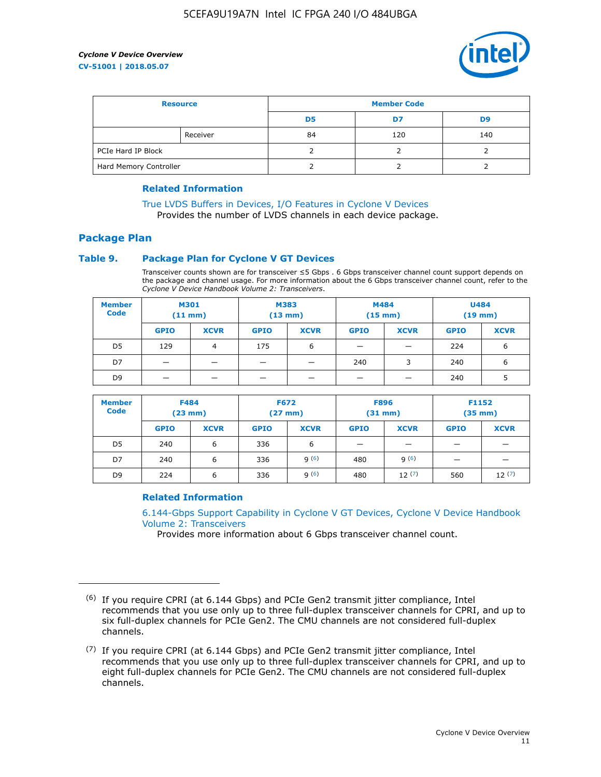

| <b>Resource</b>        |          | <b>Member Code</b> |     |     |  |  |
|------------------------|----------|--------------------|-----|-----|--|--|
|                        |          | D5                 | D7  | D9  |  |  |
|                        | Receiver | 84                 | 120 | 140 |  |  |
| PCIe Hard IP Block     |          |                    |     |     |  |  |
| Hard Memory Controller |          |                    |     |     |  |  |

### **Related Information**

[True LVDS Buffers in Devices, I/O Features in Cyclone V Devices](https://www.altera.com/documentation/sam1403481100977.html#sam1403480885395) Provides the number of LVDS channels in each device package.

### **Package Plan**

### **Table 9. Package Plan for Cyclone V GT Devices**

Transceiver counts shown are for transceiver ≤5 Gbps . 6 Gbps transceiver channel count support depends on the package and channel usage. For more information about the 6 Gbps transceiver channel count, refer to the *Cyclone V Device Handbook Volume 2: Transceivers*.

| <b>Member</b><br><b>Code</b> | <b>M301</b><br>(11 mm) |                | M383<br>$(13 \text{ mm})$ |             | M484<br>$(15 \text{ mm})$ |             | <b>U484</b><br>$(19$ mm) |             |
|------------------------------|------------------------|----------------|---------------------------|-------------|---------------------------|-------------|--------------------------|-------------|
|                              | <b>GPIO</b>            | <b>XCVR</b>    | <b>GPIO</b>               | <b>XCVR</b> | <b>GPIO</b>               | <b>XCVR</b> | <b>GPIO</b>              | <b>XCVR</b> |
| D <sub>5</sub>               | 129                    | $\overline{4}$ | 175                       | 6           | -                         | –           | 224                      | 6           |
| D7                           | -                      |                |                           |             | 240                       | 3           | 240                      | 6           |
| D <sub>9</sub>               | -                      |                |                           |             | _                         |             | 240                      |             |

| <b>Member</b><br><b>Code</b> | <b>F484</b><br>$(23$ mm $)$ |             | <b>F672</b><br>$(27 \text{ mm})$ |             | <b>F896</b><br>$(31$ mm $)$ |             | F1152<br>$(35$ mm $)$    |             |
|------------------------------|-----------------------------|-------------|----------------------------------|-------------|-----------------------------|-------------|--------------------------|-------------|
|                              | <b>GPIO</b>                 | <b>XCVR</b> | <b>GPIO</b>                      | <b>XCVR</b> | <b>GPIO</b>                 | <b>XCVR</b> | <b>GPIO</b>              | <b>XCVR</b> |
| D <sub>5</sub>               | 240                         | 6           | 336                              | 6           | -                           |             | –                        |             |
| D7                           | 240                         | 6           | 336                              | q(6)        | 480                         | q(6)        | $\overline{\phantom{0}}$ | -           |
| D <sub>9</sub>               | 224                         | 6           | 336                              | q(6)        | 480                         | 12(7)       | 560                      | 12(7)       |

### **Related Information**

[6.144-Gbps Support Capability in Cyclone V GT Devices, Cyclone V Device Handbook](https://www.altera.com/documentation/nik1409855456781.html#nik1409855410757) [Volume 2: Transceivers](https://www.altera.com/documentation/nik1409855456781.html#nik1409855410757)

Provides more information about 6 Gbps transceiver channel count.

<sup>(6)</sup> If you require CPRI (at 6.144 Gbps) and PCIe Gen2 transmit jitter compliance, Intel recommends that you use only up to three full-duplex transceiver channels for CPRI, and up to six full-duplex channels for PCIe Gen2. The CMU channels are not considered full-duplex channels.

 $(7)$  If you require CPRI (at 6.144 Gbps) and PCIe Gen2 transmit jitter compliance, Intel recommends that you use only up to three full-duplex transceiver channels for CPRI, and up to eight full-duplex channels for PCIe Gen2. The CMU channels are not considered full-duplex channels.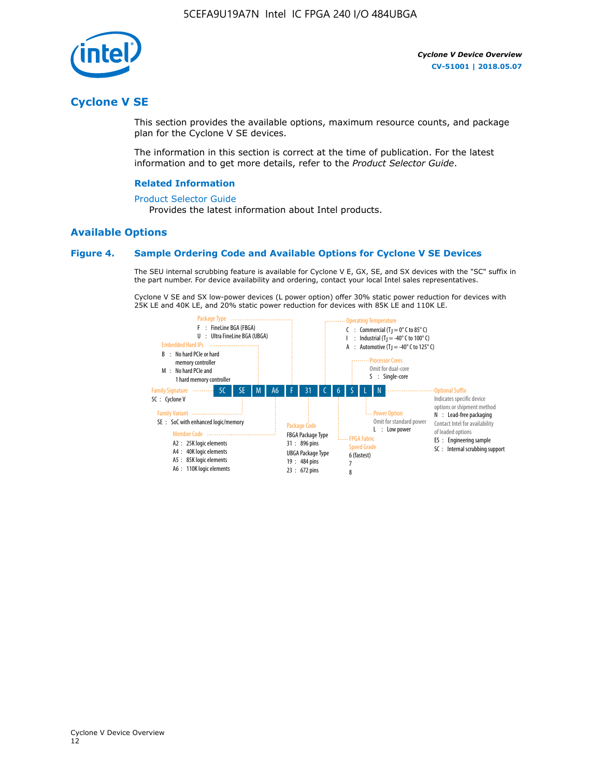

### **Cyclone V SE**

This section provides the available options, maximum resource counts, and package plan for the Cyclone V SE devices.

The information in this section is correct at the time of publication. For the latest information and to get more details, refer to the *Product Selector Guide*.

#### **Related Information**

#### [Product Selector Guide](https://www.altera.com/products/product-selector-guide.html)

Provides the latest information about Intel products.

### **Available Options**

#### **Figure 4. Sample Ordering Code and Available Options for Cyclone V SE Devices**

The SEU internal scrubbing feature is available for Cyclone V E, GX, SE, and SX devices with the "SC" suffix in the part number. For device availability and ordering, contact your local Intel sales representatives.

Cyclone V SE and SX low-power devices (L power option) offer 30% static power reduction for devices with 25K LE and 40K LE, and 20% static power reduction for devices with 85K LE and 110K LE.

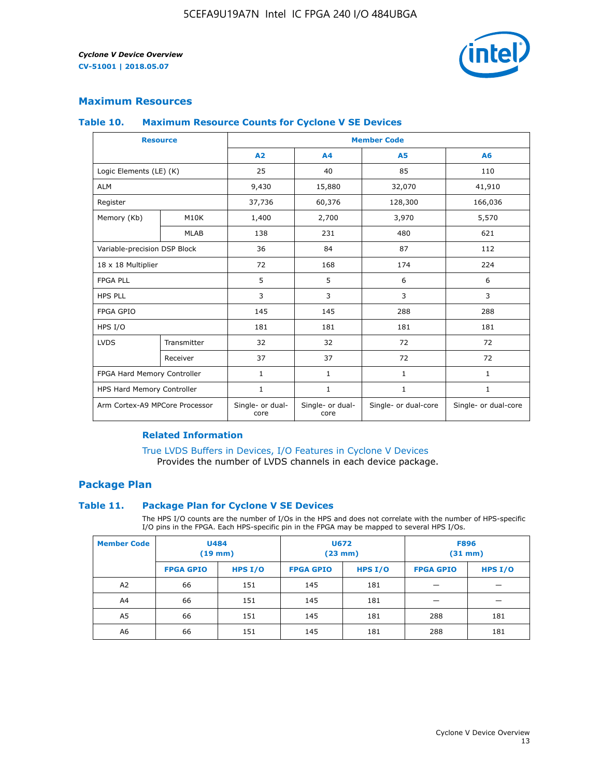

### **Maximum Resources**

#### **Table 10. Maximum Resource Counts for Cyclone V SE Devices**

|                                | <b>Resource</b>   | <b>Member Code</b>       |                          |                      |                      |  |
|--------------------------------|-------------------|--------------------------|--------------------------|----------------------|----------------------|--|
|                                |                   | A2                       | A <sub>4</sub>           | <b>A5</b>            | A6                   |  |
| Logic Elements (LE) (K)        |                   | 25                       | 40                       | 85                   | 110                  |  |
| <b>ALM</b>                     |                   | 9,430                    | 15,880                   | 32,070               | 41,910               |  |
| Register                       |                   | 37,736                   | 60,376                   | 128,300              | 166,036              |  |
| Memory (Kb)                    | M <sub>10</sub> K | 1,400                    | 2,700                    | 3,970                | 5,570                |  |
|                                | <b>MLAB</b>       | 138                      | 231                      | 480                  | 621                  |  |
| Variable-precision DSP Block   |                   | 36                       | 84                       | 87                   | 112                  |  |
| 18 x 18 Multiplier             |                   | 72                       | 168                      | 174                  | 224                  |  |
| <b>FPGA PLL</b>                |                   | 5                        | 5                        | 6                    | 6                    |  |
| <b>HPS PLL</b>                 |                   | 3                        | 3                        | 3                    | 3                    |  |
| <b>FPGA GPIO</b>               |                   | 145                      | 145                      | 288                  | 288                  |  |
| HPS I/O                        |                   | 181                      | 181                      | 181                  | 181                  |  |
| <b>LVDS</b>                    | Transmitter       | 32                       | 32                       | 72                   | 72                   |  |
|                                | Receiver          | 37                       | 37                       | 72                   | 72                   |  |
| FPGA Hard Memory Controller    |                   | 1                        | $\mathbf{1}$             | $\mathbf{1}$         | $\mathbf{1}$         |  |
| HPS Hard Memory Controller     |                   | $\mathbf{1}$             | $\mathbf{1}$             | $\mathbf{1}$         | $\mathbf{1}$         |  |
| Arm Cortex-A9 MPCore Processor |                   | Single- or dual-<br>core | Single- or dual-<br>core | Single- or dual-core | Single- or dual-core |  |

### **Related Information**

[True LVDS Buffers in Devices, I/O Features in Cyclone V Devices](https://www.altera.com/documentation/sam1403481100977.html#sam1403480885395) Provides the number of LVDS channels in each device package.

### **Package Plan**

#### **Table 11. Package Plan for Cyclone V SE Devices**

The HPS I/O counts are the number of I/Os in the HPS and does not correlate with the number of HPS-specific I/O pins in the FPGA. Each HPS-specific pin in the FPGA may be mapped to several HPS I/Os.

| <b>Member Code</b> | <b>U484</b><br>$(19$ mm) |           | U672<br>(23 mm)  |         | <b>F896</b><br>$(31$ mm $)$ |           |
|--------------------|--------------------------|-----------|------------------|---------|-----------------------------|-----------|
|                    | <b>FPGA GPIO</b>         | HPS $I/O$ | <b>FPGA GPIO</b> | HPS I/O | <b>FPGA GPIO</b>            | HPS $I/O$ |
| A <sub>2</sub>     | 66                       | 151       | 145              | 181     |                             |           |
| A4                 | 66                       | 151       | 145              | 181     |                             |           |
| A <sub>5</sub>     | 66                       | 151       | 145              | 181     | 288                         | 181       |
| A6                 | 66                       | 151       | 145              | 181     | 288                         | 181       |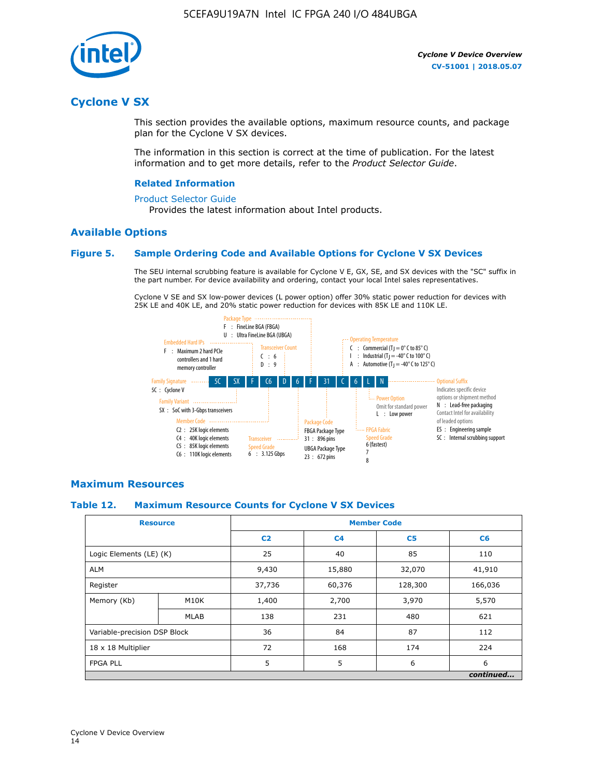

### **Cyclone V SX**

This section provides the available options, maximum resource counts, and package plan for the Cyclone V SX devices.

The information in this section is correct at the time of publication. For the latest information and to get more details, refer to the *Product Selector Guide*.

#### **Related Information**

#### [Product Selector Guide](https://www.altera.com/products/product-selector-guide.html)

Provides the latest information about Intel products.

### **Available Options**

### **Figure 5. Sample Ordering Code and Available Options for Cyclone V SX Devices**

The SEU internal scrubbing feature is available for Cyclone V E, GX, SE, and SX devices with the "SC" suffix in the part number. For device availability and ordering, contact your local Intel sales representatives.

Cyclone V SE and SX low-power devices (L power option) offer 30% static power reduction for devices with 25K LE and 40K LE, and 20% static power reduction for devices with 85K LE and 110K LE.



### **Maximum Resources**

### **Table 12. Maximum Resource Counts for Cyclone V SX Devices**

|                              | <b>Resource</b> | <b>Member Code</b> |                |                |           |  |  |
|------------------------------|-----------------|--------------------|----------------|----------------|-----------|--|--|
|                              |                 | C <sub>2</sub>     | C <sub>4</sub> | C <sub>5</sub> | C6        |  |  |
| Logic Elements (LE) (K)      |                 | 25                 | 40             | 85             | 110       |  |  |
| <b>ALM</b>                   |                 | 9,430              | 15,880         | 32,070         | 41,910    |  |  |
| Register                     |                 | 37,736             | 60,376         | 128,300        | 166,036   |  |  |
| Memory (Kb)                  | M10K            | 1,400              | 2,700          | 3,970          | 5,570     |  |  |
|                              | <b>MLAB</b>     | 138                | 231            | 480            | 621       |  |  |
| Variable-precision DSP Block |                 | 36                 | 84             | 87             | 112       |  |  |
| 18 x 18 Multiplier           |                 | 72                 | 168            | 174            | 224       |  |  |
| <b>FPGA PLL</b>              |                 | 5                  | 5              | 6              | 6         |  |  |
|                              |                 |                    |                |                | continued |  |  |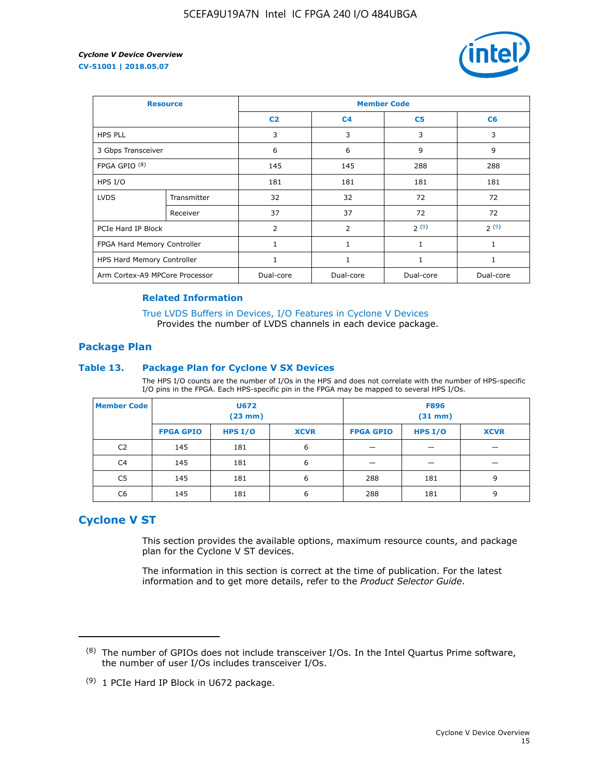

| <b>Resource</b>                |             | <b>Member Code</b> |                |                |           |  |  |
|--------------------------------|-------------|--------------------|----------------|----------------|-----------|--|--|
|                                |             | C <sub>2</sub>     | C <sub>4</sub> | C <sub>5</sub> | C6        |  |  |
| <b>HPS PLL</b>                 |             | 3                  | 3              | 3              | 3         |  |  |
| 3 Gbps Transceiver             |             | 6                  | 6              | 9              | 9         |  |  |
| FPGA GPIO <sup>(8)</sup>       |             | 145                | 145            | 288            | 288       |  |  |
| HPS I/O                        |             | 181                | 181            | 181            | 181       |  |  |
| <b>LVDS</b>                    | Transmitter | 32                 | 32             | 72             | 72        |  |  |
|                                | Receiver    | 37                 | 37             | 72             | 72        |  |  |
| PCIe Hard IP Block             |             | $\overline{2}$     | $\overline{2}$ | 2(9)           | 2(9)      |  |  |
| FPGA Hard Memory Controller    |             | $\mathbf{1}$       | 1              | 1              | 1         |  |  |
| HPS Hard Memory Controller     |             | 1                  | 1              | 1              | 1         |  |  |
| Arm Cortex-A9 MPCore Processor |             | Dual-core          | Dual-core      | Dual-core      | Dual-core |  |  |

### **Related Information**

[True LVDS Buffers in Devices, I/O Features in Cyclone V Devices](https://www.altera.com/documentation/sam1403481100977.html#sam1403480885395) Provides the number of LVDS channels in each device package.

### **Package Plan**

#### **Table 13. Package Plan for Cyclone V SX Devices**

The HPS I/O counts are the number of I/Os in the HPS and does not correlate with the number of HPS-specific I/O pins in the FPGA. Each HPS-specific pin in the FPGA may be mapped to several HPS I/Os.

| <b>Member Code</b> | U672<br>(23 mm)  |           | <b>F896</b><br>$(31$ mm $)$ |                  |         |             |
|--------------------|------------------|-----------|-----------------------------|------------------|---------|-------------|
|                    | <b>FPGA GPIO</b> | HPS $I/O$ | <b>XCVR</b>                 | <b>FPGA GPIO</b> | HPS I/O | <b>XCVR</b> |
| C <sub>2</sub>     | 145              | 181       | 6                           |                  |         |             |
| C4                 | 145              | 181       | 6                           |                  |         |             |
| C <sub>5</sub>     | 145              | 181       | 6                           | 288              | 181     | 9           |
| C6                 | 145              | 181       | 6                           | 288              | 181     | 9           |

### **Cyclone V ST**

This section provides the available options, maximum resource counts, and package plan for the Cyclone V ST devices.

The information in this section is correct at the time of publication. For the latest information and to get more details, refer to the *Product Selector Guide*.

 $(8)$  The number of GPIOs does not include transceiver I/Os. In the Intel Quartus Prime software, the number of user I/Os includes transceiver I/Os.

<sup>(9)</sup> 1 PCIe Hard IP Block in U672 package.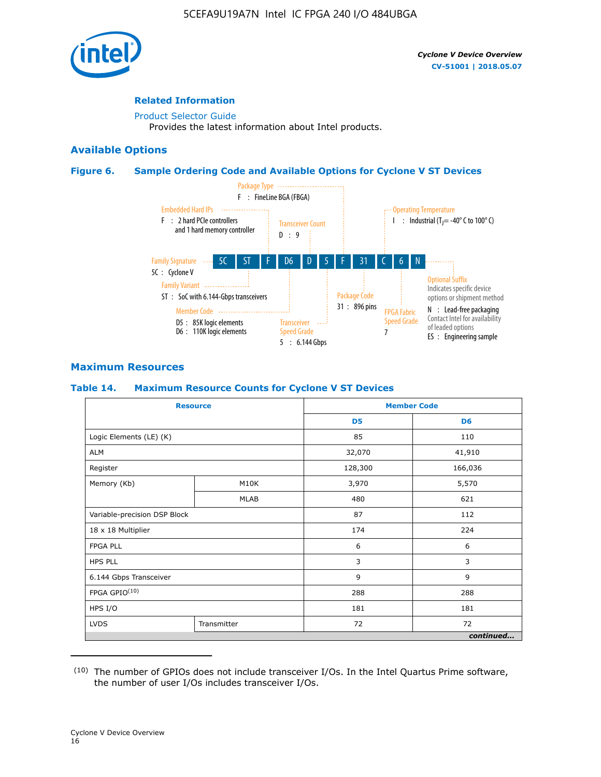

### **Related Information**

[Product Selector Guide](https://www.altera.com/products/product-selector-guide.html) Provides the latest information about Intel products.

### **Available Options**

### **Figure 6. Sample Ordering Code and Available Options for Cyclone V ST Devices**



### **Maximum Resources**

### **Table 14. Maximum Resource Counts for Cyclone V ST Devices**

| <b>Resource</b>              |             |                | <b>Member Code</b> |
|------------------------------|-------------|----------------|--------------------|
|                              |             | D <sub>5</sub> | D <sub>6</sub>     |
| Logic Elements (LE) (K)      |             | 85             | 110                |
| <b>ALM</b>                   |             | 32,070         | 41,910             |
| Register                     |             | 128,300        | 166,036            |
| Memory (Kb)                  | M10K        | 3,970          | 5,570              |
|                              | <b>MLAB</b> | 480            | 621                |
| Variable-precision DSP Block |             | 87             | 112                |
| 18 x 18 Multiplier           |             | 174            | 224                |
| <b>FPGA PLL</b>              |             | 6              | 6                  |
| <b>HPS PLL</b>               |             | 3              | 3                  |
| 6.144 Gbps Transceiver       |             | 9              | 9                  |
| FPGA GPIO(10)                |             | 288            | 288                |
| HPS I/O                      |             | 181            | 181                |
| <b>LVDS</b><br>Transmitter   |             | 72             | 72                 |
|                              |             |                | continued          |

<sup>(10)</sup> The number of GPIOs does not include transceiver I/Os. In the Intel Quartus Prime software, the number of user I/Os includes transceiver I/Os.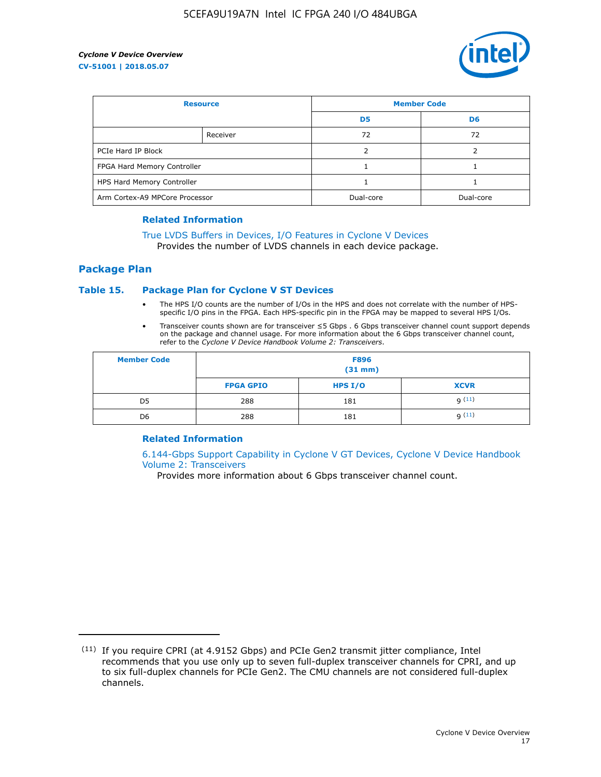

| <b>Resource</b>                |          | <b>Member Code</b> |                |  |
|--------------------------------|----------|--------------------|----------------|--|
|                                |          | D <sub>5</sub>     | D <sub>6</sub> |  |
|                                | Receiver | 72                 | 72             |  |
| PCIe Hard IP Block             |          |                    |                |  |
| FPGA Hard Memory Controller    |          |                    |                |  |
| HPS Hard Memory Controller     |          |                    |                |  |
| Arm Cortex-A9 MPCore Processor |          | Dual-core          | Dual-core      |  |

#### **Related Information**

### [True LVDS Buffers in Devices, I/O Features in Cyclone V Devices](https://www.altera.com/documentation/sam1403481100977.html#sam1403480885395)

Provides the number of LVDS channels in each device package.

### **Package Plan**

### **Table 15. Package Plan for Cyclone V ST Devices**

- The HPS I/O counts are the number of I/Os in the HPS and does not correlate with the number of HPSspecific I/O pins in the FPGA. Each HPS-specific pin in the FPGA may be mapped to several HPS I/Os.
- Transceiver counts shown are for transceiver ≤5 Gbps . 6 Gbps transceiver channel count support depends on the package and channel usage. For more information about the 6 Gbps transceiver channel count, refer to the *Cyclone V Device Handbook Volume 2: Transceivers*.

| <b>Member Code</b> | <b>F896</b><br>$(31$ mm $)$ |           |             |  |  |
|--------------------|-----------------------------|-----------|-------------|--|--|
|                    | <b>FPGA GPIO</b>            | HPS $I/O$ | <b>XCVR</b> |  |  |
| D <sub>5</sub>     | 288                         | 181       | 9(11)       |  |  |
| D <sub>6</sub>     | 288                         | 181       | q(11)       |  |  |

### **Related Information**

[6.144-Gbps Support Capability in Cyclone V GT Devices, Cyclone V Device Handbook](https://www.altera.com/documentation/nik1409855456781.html#nik1409855410757) [Volume 2: Transceivers](https://www.altera.com/documentation/nik1409855456781.html#nik1409855410757)

Provides more information about 6 Gbps transceiver channel count.

<sup>(11)</sup> If you require CPRI (at 4.9152 Gbps) and PCIe Gen2 transmit jitter compliance, Intel recommends that you use only up to seven full-duplex transceiver channels for CPRI, and up to six full-duplex channels for PCIe Gen2. The CMU channels are not considered full-duplex channels.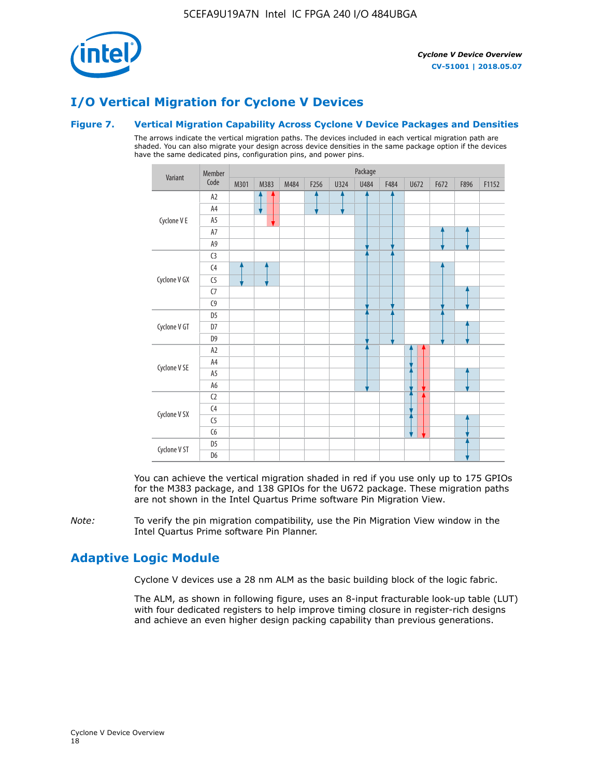

# **I/O Vertical Migration for Cyclone V Devices**

### **Figure 7. Vertical Migration Capability Across Cyclone V Device Packages and Densities**

The arrows indicate the vertical migration paths. The devices included in each vertical migration path are shaded. You can also migrate your design across device densities in the same package option if the devices have the same dedicated pins, configuration pins, and power pins.



You can achieve the vertical migration shaded in red if you use only up to 175 GPIOs for the M383 package, and 138 GPIOs for the U672 package. These migration paths are not shown in the Intel Quartus Prime software Pin Migration View.

*Note:* To verify the pin migration compatibility, use the Pin Migration View window in the Intel Quartus Prime software Pin Planner.

### **Adaptive Logic Module**

Cyclone V devices use a 28 nm ALM as the basic building block of the logic fabric.

The ALM, as shown in following figure, uses an 8-input fracturable look-up table (LUT) with four dedicated registers to help improve timing closure in register-rich designs and achieve an even higher design packing capability than previous generations.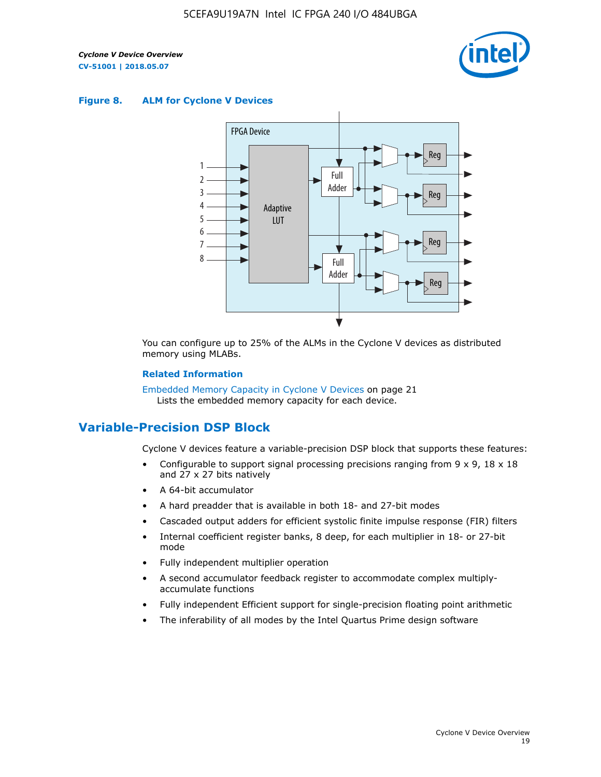

#### **Figure 8. ALM for Cyclone V Devices**



You can configure up to 25% of the ALMs in the Cyclone V devices as distributed memory using MLABs.

#### **Related Information**

Embedded Memory Capacity in Cyclone V Devices on page 21 Lists the embedded memory capacity for each device.

### **Variable-Precision DSP Block**

Cyclone V devices feature a variable-precision DSP block that supports these features:

- Configurable to support signal processing precisions ranging from  $9 \times 9$ ,  $18 \times 18$ and 27 x 27 bits natively
- A 64-bit accumulator
- A hard preadder that is available in both 18- and 27-bit modes
- Cascaded output adders for efficient systolic finite impulse response (FIR) filters
- Internal coefficient register banks, 8 deep, for each multiplier in 18- or 27-bit mode
- Fully independent multiplier operation
- A second accumulator feedback register to accommodate complex multiplyaccumulate functions
- Fully independent Efficient support for single-precision floating point arithmetic
- The inferability of all modes by the Intel Quartus Prime design software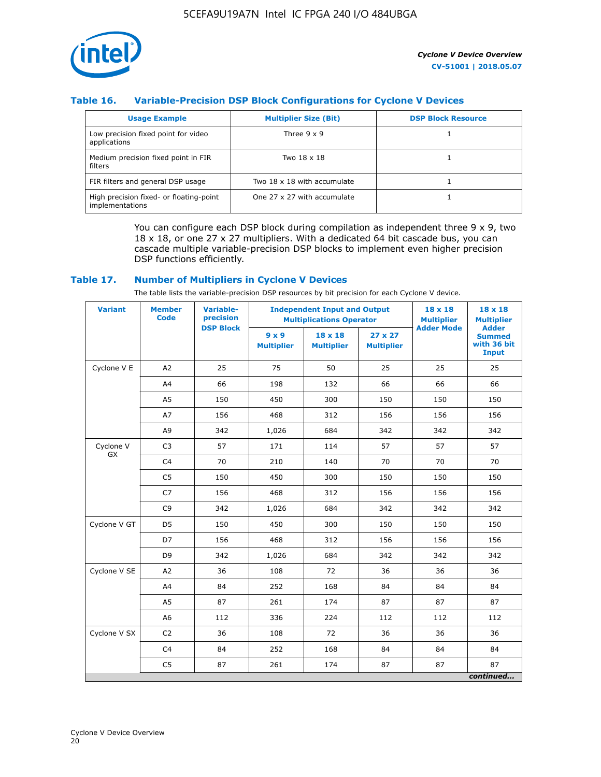

### **Table 16. Variable-Precision DSP Block Configurations for Cyclone V Devices**

| <b>Usage Example</b>                                       | <b>Multiplier Size (Bit)</b> | <b>DSP Block Resource</b> |
|------------------------------------------------------------|------------------------------|---------------------------|
| Low precision fixed point for video<br>applications        | Three $9 \times 9$           |                           |
| Medium precision fixed point in FIR<br>filters             | Two 18 x 18                  |                           |
| FIR filters and general DSP usage                          | Two 18 x 18 with accumulate  |                           |
| High precision fixed- or floating-point<br>implementations | One 27 x 27 with accumulate  |                           |

You can configure each DSP block during compilation as independent three  $9 \times 9$ , two 18 x 18, or one 27 x 27 multipliers. With a dedicated 64 bit cascade bus, you can cascade multiple variable-precision DSP blocks to implement even higher precision DSP functions efficiently.

### **Table 17. Number of Multipliers in Cyclone V Devices**

The table lists the variable-precision DSP resources by bit precision for each Cyclone V device.

| <b>Variant</b>  | <b>Member</b><br>Code | <b>Variable-</b><br>precision |                                   | <b>Independent Input and Output</b><br><b>Multiplications Operator</b> | 18 x 18<br><b>Multiplier</b><br><b>Adder Mode</b> | $18 \times 18$<br><b>Multiplier</b> |                                                              |
|-----------------|-----------------------|-------------------------------|-----------------------------------|------------------------------------------------------------------------|---------------------------------------------------|-------------------------------------|--------------------------------------------------------------|
|                 |                       | <b>DSP Block</b>              | $9 \times 9$<br><b>Multiplier</b> | $18 \times 18$<br><b>Multiplier</b>                                    | $27 \times 27$<br><b>Multiplier</b>               |                                     | <b>Adder</b><br><b>Summed</b><br>with 36 bit<br><b>Input</b> |
| Cyclone V E     | A2                    | 25                            | 75                                | 50                                                                     | 25                                                | 25                                  | 25                                                           |
|                 | A4                    | 66                            | 198                               | 132                                                                    | 66                                                | 66                                  | 66                                                           |
|                 | A <sub>5</sub>        | 150                           | 450                               | 300                                                                    | 150                                               | 150                                 | 150                                                          |
|                 | A7                    | 156                           | 468                               | 312                                                                    | 156                                               | 156                                 | 156                                                          |
|                 | A9                    | 342                           | 1,026                             | 684                                                                    | 342                                               | 342                                 | 342                                                          |
| Cyclone V<br>GX | C <sub>3</sub>        | 57                            | 171                               | 114                                                                    | 57                                                | 57                                  | 57                                                           |
|                 | C <sub>4</sub>        | 70                            | 210                               | 140                                                                    | 70                                                | 70                                  | 70                                                           |
|                 | C <sub>5</sub>        | 150                           | 450                               | 300                                                                    | 150                                               | 150                                 | 150                                                          |
|                 | C7                    | 156                           | 468                               | 312                                                                    | 156                                               | 156                                 | 156                                                          |
|                 | C <sub>9</sub>        | 342                           | 1,026                             | 684                                                                    | 342                                               | 342                                 | 342                                                          |
| Cyclone V GT    | D <sub>5</sub>        | 150                           | 450                               | 300                                                                    | 150                                               | 150                                 | 150                                                          |
|                 | D7                    | 156                           | 468                               | 312                                                                    | 156                                               | 156                                 | 156                                                          |
|                 | D <sub>9</sub>        | 342                           | 1,026                             | 684                                                                    | 342                                               | 342                                 | 342                                                          |
| Cyclone V SE    | A <sub>2</sub>        | 36                            | 108                               | 72                                                                     | 36                                                | 36                                  | 36                                                           |
|                 | A4                    | 84                            | 252                               | 168                                                                    | 84                                                | 84                                  | 84                                                           |
|                 | A5                    | 87                            | 261                               | 174                                                                    | 87                                                | 87                                  | 87                                                           |
|                 | A <sub>6</sub>        | 112                           | 336                               | 224                                                                    | 112                                               | 112                                 | 112                                                          |
| Cyclone V SX    | C <sub>2</sub>        | 36                            | 108                               | 72                                                                     | 36                                                | 36                                  | 36                                                           |
|                 | C <sub>4</sub>        | 84                            | 252                               | 168                                                                    | 84                                                | 84                                  | 84                                                           |
|                 | C <sub>5</sub>        | 87                            | 261                               | 174                                                                    | 87                                                | 87                                  | 87                                                           |
|                 |                       |                               |                                   |                                                                        |                                                   |                                     | continued                                                    |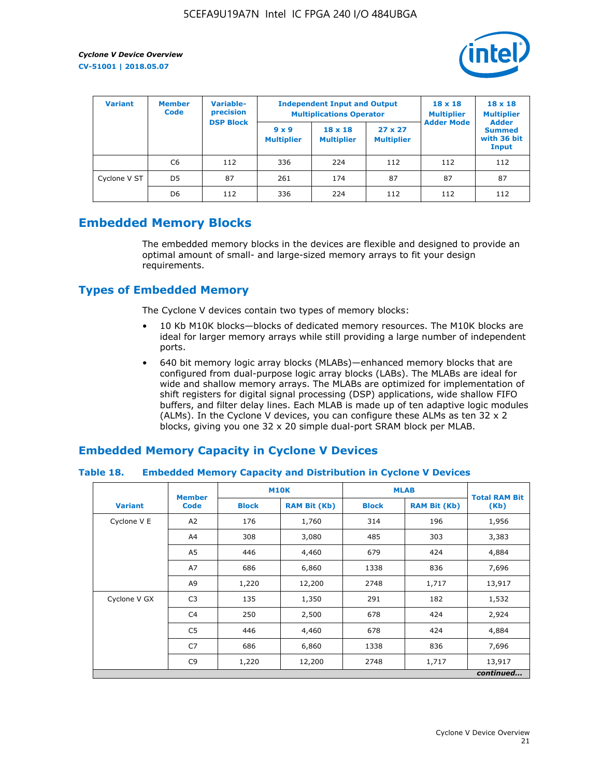

| <b>Variant</b> | <b>Member</b><br><b>Code</b> | <b>Variable-</b><br>precision<br><b>DSP Block</b> |                                   | <b>Independent Input and Output</b><br><b>Multiplications Operator</b> | $18 \times 18$<br><b>Multiplier</b><br><b>Adder Mode</b> | $18 \times 18$<br><b>Multiplier</b><br><b>Adder</b> |                                       |
|----------------|------------------------------|---------------------------------------------------|-----------------------------------|------------------------------------------------------------------------|----------------------------------------------------------|-----------------------------------------------------|---------------------------------------|
|                |                              |                                                   | $9 \times 9$<br><b>Multiplier</b> | $18 \times 18$<br><b>Multiplier</b>                                    | $27 \times 27$<br><b>Multiplier</b>                      |                                                     | <b>Summed</b><br>with 36 bit<br>Input |
|                | C6                           | 112                                               | 336                               | 224                                                                    | 112                                                      | 112                                                 | 112                                   |
| Cyclone V ST   | D <sub>5</sub>               | 87                                                | 261                               | 174                                                                    | 87                                                       | 87                                                  | 87                                    |
|                | D <sub>6</sub>               | 112                                               | 336                               | 224                                                                    | 112                                                      | 112                                                 | 112                                   |

### **Embedded Memory Blocks**

The embedded memory blocks in the devices are flexible and designed to provide an optimal amount of small- and large-sized memory arrays to fit your design requirements.

### **Types of Embedded Memory**

The Cyclone V devices contain two types of memory blocks:

- 10 Kb M10K blocks—blocks of dedicated memory resources. The M10K blocks are ideal for larger memory arrays while still providing a large number of independent ports.
- 640 bit memory logic array blocks (MLABs)—enhanced memory blocks that are configured from dual-purpose logic array blocks (LABs). The MLABs are ideal for wide and shallow memory arrays. The MLABs are optimized for implementation of shift registers for digital signal processing (DSP) applications, wide shallow FIFO buffers, and filter delay lines. Each MLAB is made up of ten adaptive logic modules (ALMs). In the Cyclone V devices, you can configure these ALMs as ten 32 x 2 blocks, giving you one 32 x 20 simple dual-port SRAM block per MLAB.

### **Embedded Memory Capacity in Cyclone V Devices**

### **Table 18. Embedded Memory Capacity and Distribution in Cyclone V Devices**

|                | <b>Member</b>  |                                     | <b>M10K</b>  | <b>MLAB</b>  | <b>Total RAM Bit</b> |           |  |
|----------------|----------------|-------------------------------------|--------------|--------------|----------------------|-----------|--|
| <b>Variant</b> | Code           | <b>Block</b><br><b>RAM Bit (Kb)</b> |              | <b>Block</b> | <b>RAM Bit (Kb)</b>  | (Kb)      |  |
| Cyclone V E    | A <sub>2</sub> | 176                                 | 1,760        | 314          | 196                  | 1,956     |  |
|                | A4             | 308                                 | 3,080        | 485          | 303                  | 3,383     |  |
|                | A5             | 446                                 | 679<br>4,460 |              | 424                  | 4,884     |  |
|                | A7             | 686                                 | 6,860        | 1338         | 836                  | 7,696     |  |
|                | A9             | 1,220                               | 12,200       | 2748         | 1,717                | 13,917    |  |
| Cyclone V GX   | C <sub>3</sub> | 135                                 | 1,350        | 291          | 182                  | 1,532     |  |
|                | C4             | 250                                 | 2,500        | 678          | 424                  | 2,924     |  |
|                | C <sub>5</sub> | 446                                 | 4,460        | 678          | 424                  | 4,884     |  |
|                | C7             | 686                                 | 6,860        | 1338         | 836                  | 7,696     |  |
|                | C <sub>9</sub> | 1,220                               | 12,200       | 2748         | 1,717                | 13,917    |  |
|                |                |                                     |              |              |                      | continued |  |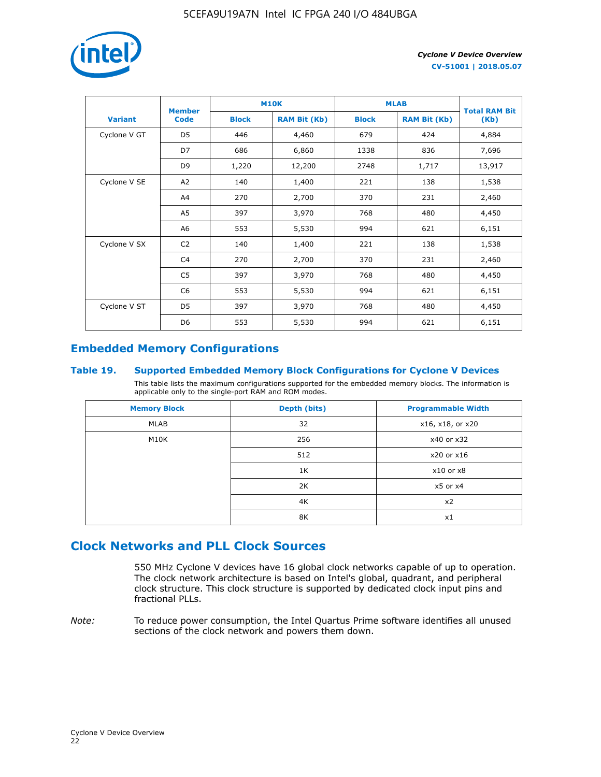

|                | <b>Member</b>  |              | <b>M10K</b>         | <b>MLAB</b>  | <b>Total RAM Bit</b> |        |
|----------------|----------------|--------------|---------------------|--------------|----------------------|--------|
| <b>Variant</b> | <b>Code</b>    | <b>Block</b> | <b>RAM Bit (Kb)</b> | <b>Block</b> | <b>RAM Bit (Kb)</b>  | (Kb)   |
| Cyclone V GT   | D <sub>5</sub> | 446          | 4,460               | 679          | 424                  | 4,884  |
|                | D7             | 686          | 6,860               | 1338         | 836                  | 7,696  |
|                | D <sub>9</sub> | 1,220        | 12,200              | 2748         | 1,717                | 13,917 |
| Cyclone V SE   | A <sub>2</sub> | 140          | 1,400               | 221          | 138                  | 1,538  |
|                | A4             | 270          | 2,700               | 370          | 231                  | 2,460  |
|                | A5             | 397          | 3,970               | 768          | 480                  | 4,450  |
|                | A6             | 553          | 5,530               | 994          | 621                  | 6,151  |
| Cyclone V SX   | C <sub>2</sub> | 140          | 1,400               | 221          | 138                  | 1,538  |
|                | C4             | 270          | 2,700               | 370          | 231                  | 2,460  |
|                | C5             | 397          | 3,970               | 768          | 480                  | 4,450  |
|                | C <sub>6</sub> | 553          | 5,530               | 994          | 621                  | 6,151  |
| Cyclone V ST   | D <sub>5</sub> | 397          | 3,970               | 768          | 480                  | 4,450  |
|                | D <sub>6</sub> | 553          | 5,530               | 994          | 621                  | 6,151  |

### **Embedded Memory Configurations**

### **Table 19. Supported Embedded Memory Block Configurations for Cyclone V Devices**

This table lists the maximum configurations supported for the embedded memory blocks. The information is applicable only to the single-port RAM and ROM modes.

| <b>Memory Block</b> | Depth (bits) | <b>Programmable Width</b> |
|---------------------|--------------|---------------------------|
| MLAB                | 32           | x16, x18, or x20          |
| M10K                | 256          | x40 or x32                |
|                     | 512          | x20 or x16                |
|                     | 1K           | $x10$ or $x8$             |
|                     | 2K           | $x5$ or $x4$              |
|                     | 4K           | x2                        |
|                     | 8K           | x1                        |

### **Clock Networks and PLL Clock Sources**

550 MHz Cyclone V devices have 16 global clock networks capable of up to operation. The clock network architecture is based on Intel's global, quadrant, and peripheral clock structure. This clock structure is supported by dedicated clock input pins and fractional PLLs.

*Note:* To reduce power consumption, the Intel Quartus Prime software identifies all unused sections of the clock network and powers them down.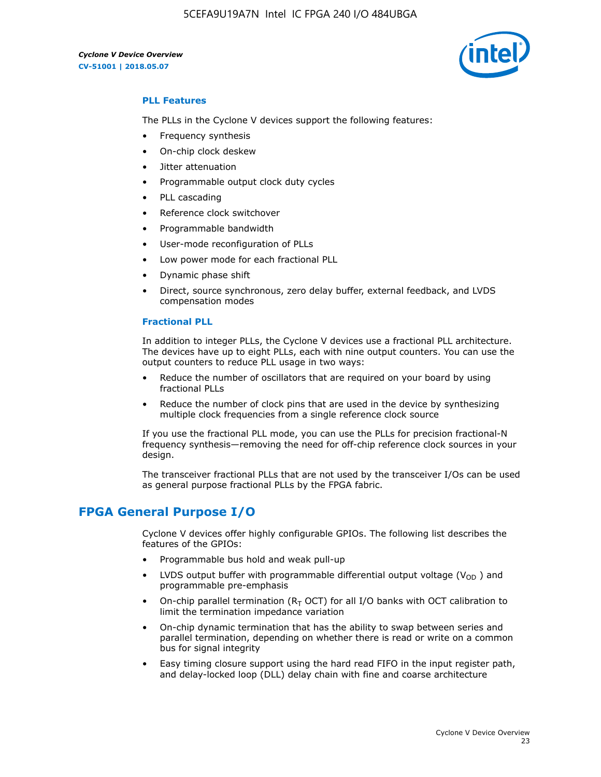5CEFA9U19A7N Intel IC FPGA 240 I/O 484UBGA

*Cyclone V Device Overview* **CV-51001 | 2018.05.07**



### **PLL Features**

The PLLs in the Cyclone V devices support the following features:

- Frequency synthesis
- On-chip clock deskew
- Jitter attenuation
- Programmable output clock duty cycles
- PLL cascading
- Reference clock switchover
- Programmable bandwidth
- User-mode reconfiguration of PLLs
- Low power mode for each fractional PLL
- Dynamic phase shift
- Direct, source synchronous, zero delay buffer, external feedback, and LVDS compensation modes

#### **Fractional PLL**

In addition to integer PLLs, the Cyclone V devices use a fractional PLL architecture. The devices have up to eight PLLs, each with nine output counters. You can use the output counters to reduce PLL usage in two ways:

- Reduce the number of oscillators that are required on your board by using fractional PLLs
- Reduce the number of clock pins that are used in the device by synthesizing multiple clock frequencies from a single reference clock source

If you use the fractional PLL mode, you can use the PLLs for precision fractional-N frequency synthesis—removing the need for off-chip reference clock sources in your design.

The transceiver fractional PLLs that are not used by the transceiver I/Os can be used as general purpose fractional PLLs by the FPGA fabric.

### **FPGA General Purpose I/O**

Cyclone V devices offer highly configurable GPIOs. The following list describes the features of the GPIOs:

- Programmable bus hold and weak pull-up
- LVDS output buffer with programmable differential output voltage ( $V_{OD}$ ) and programmable pre-emphasis
- On-chip parallel termination ( $R<sub>T</sub>$  OCT) for all I/O banks with OCT calibration to limit the termination impedance variation
- On-chip dynamic termination that has the ability to swap between series and parallel termination, depending on whether there is read or write on a common bus for signal integrity
- Easy timing closure support using the hard read FIFO in the input register path, and delay-locked loop (DLL) delay chain with fine and coarse architecture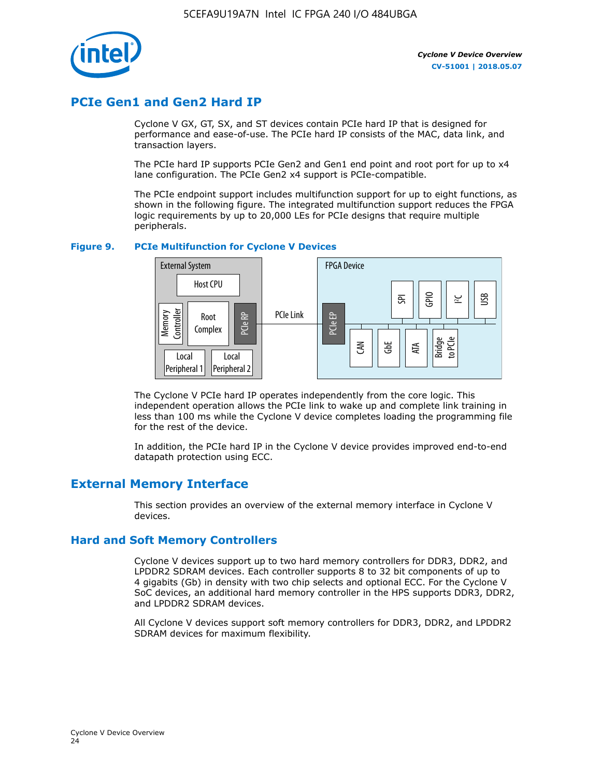

### **PCIe Gen1 and Gen2 Hard IP**

Cyclone V GX, GT, SX, and ST devices contain PCIe hard IP that is designed for performance and ease-of-use. The PCIe hard IP consists of the MAC, data link, and transaction layers.

The PCIe hard IP supports PCIe Gen2 and Gen1 end point and root port for up to x4 lane configuration. The PCIe Gen2 x4 support is PCIe-compatible.

The PCIe endpoint support includes multifunction support for up to eight functions, as shown in the following figure. The integrated multifunction support reduces the FPGA logic requirements by up to 20,000 LEs for PCIe designs that require multiple peripherals.

### **Figure 9. PCIe Multifunction for Cyclone V Devices**



The Cyclone V PCIe hard IP operates independently from the core logic. This independent operation allows the PCIe link to wake up and complete link training in less than 100 ms while the Cyclone V device completes loading the programming file for the rest of the device.

In addition, the PCIe hard IP in the Cyclone V device provides improved end-to-end datapath protection using ECC.

### **External Memory Interface**

This section provides an overview of the external memory interface in Cyclone V devices.

### **Hard and Soft Memory Controllers**

Cyclone V devices support up to two hard memory controllers for DDR3, DDR2, and LPDDR2 SDRAM devices. Each controller supports 8 to 32 bit components of up to 4 gigabits (Gb) in density with two chip selects and optional ECC. For the Cyclone V SoC devices, an additional hard memory controller in the HPS supports DDR3, DDR2, and LPDDR2 SDRAM devices.

All Cyclone V devices support soft memory controllers for DDR3, DDR2, and LPDDR2 SDRAM devices for maximum flexibility.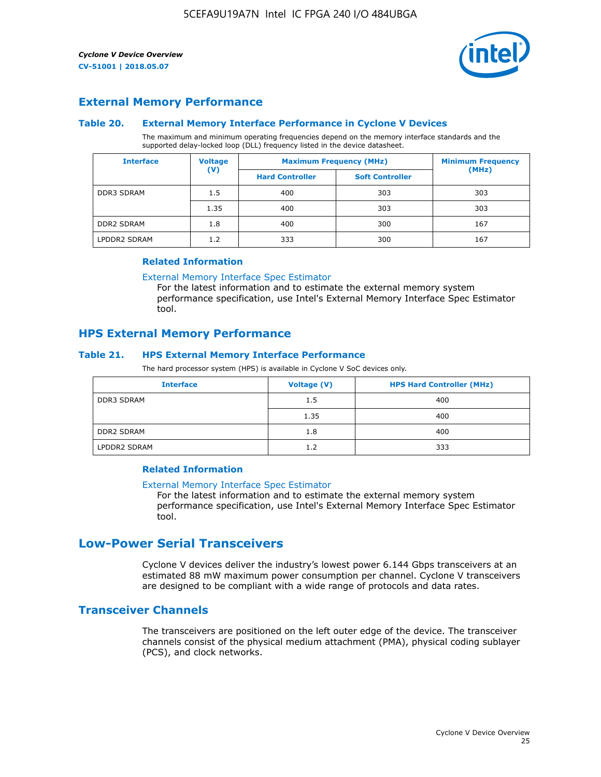

### **External Memory Performance**

### **Table 20. External Memory Interface Performance in Cyclone V Devices**

The maximum and minimum operating frequencies depend on the memory interface standards and the supported delay-locked loop (DLL) frequency listed in the device datasheet.

| <b>Interface</b>  | <b>Voltage</b> | <b>Maximum Frequency (MHz)</b> | <b>Minimum Frequency</b> |       |
|-------------------|----------------|--------------------------------|--------------------------|-------|
|                   | $(\mathsf{V})$ | <b>Hard Controller</b>         | <b>Soft Controller</b>   | (MHz) |
| <b>DDR3 SDRAM</b> | 1.5            | 400                            | 303                      | 303   |
|                   | 1.35           | 400                            | 303                      | 303   |
| <b>DDR2 SDRAM</b> | 1.8            | 400                            | 300                      | 167   |
| LPDDR2 SDRAM      | 1.2            | 333                            | 300                      | 167   |

#### **Related Information**

[External Memory Interface Spec Estimator](https://www.altera.com/solutions/technology/external-memory/spec-estimator.html)

For the latest information and to estimate the external memory system performance specification, use Intel's External Memory Interface Spec Estimator tool.

### **HPS External Memory Performance**

### **Table 21. HPS External Memory Interface Performance**

The hard processor system (HPS) is available in Cyclone V SoC devices only.

| <b>Interface</b>  | <b>Voltage (V)</b> | <b>HPS Hard Controller (MHz)</b> |
|-------------------|--------------------|----------------------------------|
| <b>DDR3 SDRAM</b> | 1.5                | 400                              |
|                   | 1.35               | 400                              |
| <b>DDR2 SDRAM</b> | 1.8                | 400                              |
| LPDDR2 SDRAM      | 1.2                | 333                              |

### **Related Information**

#### [External Memory Interface Spec Estimator](https://www.altera.com/solutions/technology/external-memory/spec-estimator.html)

For the latest information and to estimate the external memory system performance specification, use Intel's External Memory Interface Spec Estimator tool.

### **Low-Power Serial Transceivers**

Cyclone V devices deliver the industry's lowest power 6.144 Gbps transceivers at an estimated 88 mW maximum power consumption per channel. Cyclone V transceivers are designed to be compliant with a wide range of protocols and data rates.

### **Transceiver Channels**

The transceivers are positioned on the left outer edge of the device. The transceiver channels consist of the physical medium attachment (PMA), physical coding sublayer (PCS), and clock networks.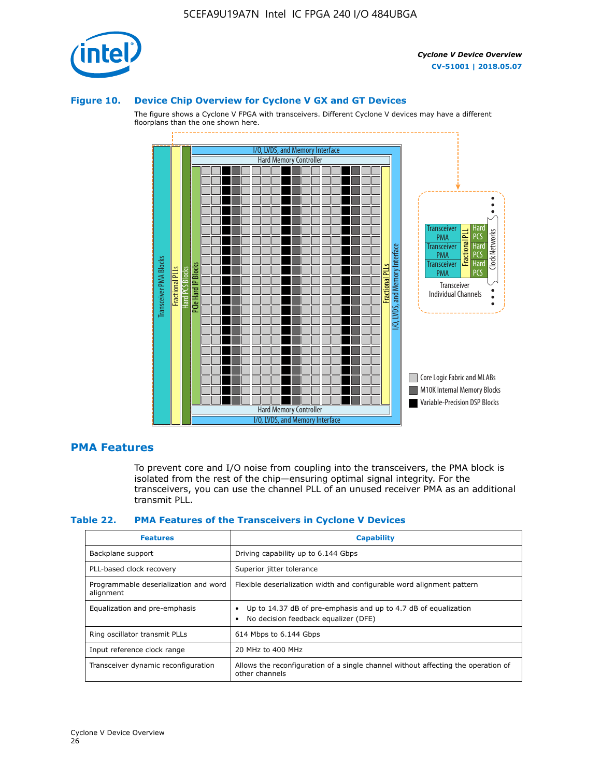

#### **Figure 10. Device Chip Overview for Cyclone V GX and GT Devices**

The figure shows a Cyclone V FPGA with transceivers. Different Cyclone V devices may have a different floorplans than the one shown here.



### **PMA Features**

To prevent core and I/O noise from coupling into the transceivers, the PMA block is isolated from the rest of the chip—ensuring optimal signal integrity. For the transceivers, you can use the channel PLL of an unused receiver PMA as an additional transmit PLL.

#### **Table 22. PMA Features of the Transceivers in Cyclone V Devices**

| <b>Features</b>                                    | <b>Capability</b>                                                                                       |
|----------------------------------------------------|---------------------------------------------------------------------------------------------------------|
| Backplane support                                  | Driving capability up to 6.144 Gbps                                                                     |
| PLL-based clock recovery                           | Superior jitter tolerance                                                                               |
| Programmable deserialization and word<br>alignment | Flexible deserialization width and configurable word alignment pattern                                  |
| Equalization and pre-emphasis                      | Up to 14.37 dB of pre-emphasis and up to 4.7 dB of equalization<br>No decision feedback equalizer (DFE) |
| Ring oscillator transmit PLLs                      | 614 Mbps to 6.144 Gbps                                                                                  |
| Input reference clock range                        | 20 MHz to 400 MHz                                                                                       |
| Transceiver dynamic reconfiguration                | Allows the reconfiguration of a single channel without affecting the operation of<br>other channels     |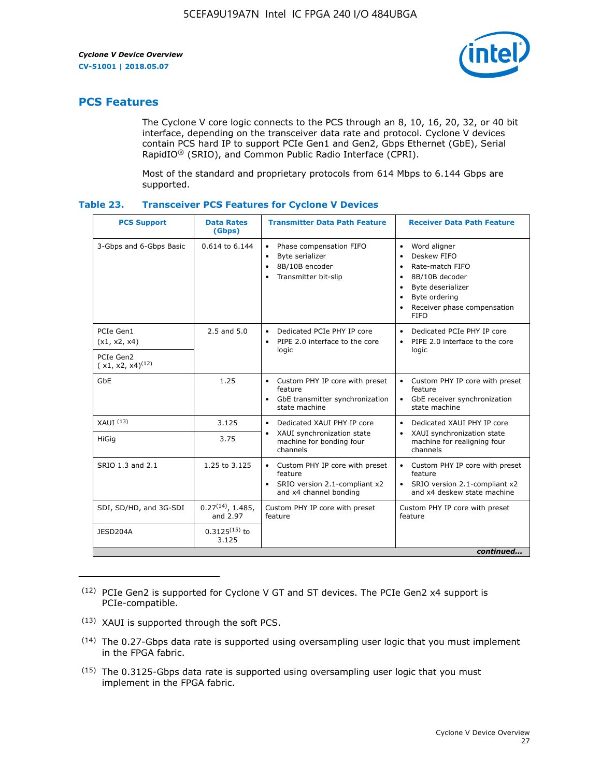

### **PCS Features**

The Cyclone V core logic connects to the PCS through an 8, 10, 16, 20, 32, or 40 bit interface, depending on the transceiver data rate and protocol. Cyclone V devices contain PCS hard IP to support PCIe Gen1 and Gen2, Gbps Ethernet (GbE), Serial RapidIO® (SRIO), and Common Public Radio Interface (CPRI).

Most of the standard and proprietary protocols from 614 Mbps to 6.144 Gbps are supported.

| <b>PCS Support</b>                 | <b>Data Rates</b><br>(Gbps)        | <b>Transmitter Data Path Feature</b>                                                                         | <b>Receiver Data Path Feature</b>                                                                                                                                                                                                  |  |  |  |
|------------------------------------|------------------------------------|--------------------------------------------------------------------------------------------------------------|------------------------------------------------------------------------------------------------------------------------------------------------------------------------------------------------------------------------------------|--|--|--|
| 3-Gbps and 6-Gbps Basic            | 0.614 to 6.144                     | • Phase compensation FIFO<br>Byte serializer<br>8B/10B encoder<br>Transmitter bit-slip                       | Word aligner<br>$\bullet$<br>Deskew FIFO<br>$\bullet$<br>Rate-match FIFO<br>$\bullet$<br>8B/10B decoder<br>$\bullet$<br>Byte deserializer<br>$\bullet$<br>Byte ordering<br>$\bullet$<br>Receiver phase compensation<br><b>FIFO</b> |  |  |  |
| PCIe Gen1<br>(x1, x2, x4)          | $2.5$ and $5.0$                    | Dedicated PCIe PHY IP core<br>PIPE 2.0 interface to the core<br>$\bullet$<br>logic                           | Dedicated PCIe PHY IP core<br>$\bullet$<br>PIPE 2.0 interface to the core<br>$\bullet$<br>logic                                                                                                                                    |  |  |  |
| PCIe Gen2<br>$(x1, x2, x4)^{(12)}$ |                                    |                                                                                                              |                                                                                                                                                                                                                                    |  |  |  |
| GbE                                | 1.25                               | • Custom PHY IP core with preset<br>feature<br>GbE transmitter synchronization<br>$\bullet$<br>state machine | • Custom PHY IP core with preset<br>feature<br>GbE receiver synchronization<br>state machine                                                                                                                                       |  |  |  |
| $XAUI$ $(13)$                      | 3.125                              | Dedicated XAUI PHY IP core<br>$\bullet$                                                                      | Dedicated XAUI PHY IP core<br>$\bullet$                                                                                                                                                                                            |  |  |  |
| HiGig                              | 3.75                               | XAUI synchronization state<br>$\bullet$<br>machine for bonding four<br>channels                              | XAUI synchronization state<br>$\bullet$<br>machine for realigning four<br>channels                                                                                                                                                 |  |  |  |
| SRIO 1.3 and 2.1                   | 1.25 to 3.125                      | • Custom PHY IP core with preset<br>feature<br>• SRIO version 2.1-compliant x2<br>and x4 channel bonding     | • Custom PHY IP core with preset<br>feature<br>• SRIO version 2.1-compliant x2<br>and x4 deskew state machine                                                                                                                      |  |  |  |
| SDI, SD/HD, and 3G-SDI             | $0.27^{(14)}$ , 1.485,<br>and 2.97 | Custom PHY IP core with preset<br>feature                                                                    | Custom PHY IP core with preset<br>feature                                                                                                                                                                                          |  |  |  |
| JESD204A                           | $0.3125^{(15)}$ to<br>3.125        |                                                                                                              |                                                                                                                                                                                                                                    |  |  |  |
| continued                          |                                    |                                                                                                              |                                                                                                                                                                                                                                    |  |  |  |

<sup>(12)</sup> PCIe Gen2 is supported for Cyclone V GT and ST devices. The PCIe Gen2 x4 support is PCIe-compatible.

<sup>(13)</sup> XAUI is supported through the soft PCS.

<sup>(14)</sup> The 0.27-Gbps data rate is supported using oversampling user logic that you must implement in the FPGA fabric.

<sup>(15)</sup> The 0.3125-Gbps data rate is supported using oversampling user logic that you must implement in the FPGA fabric.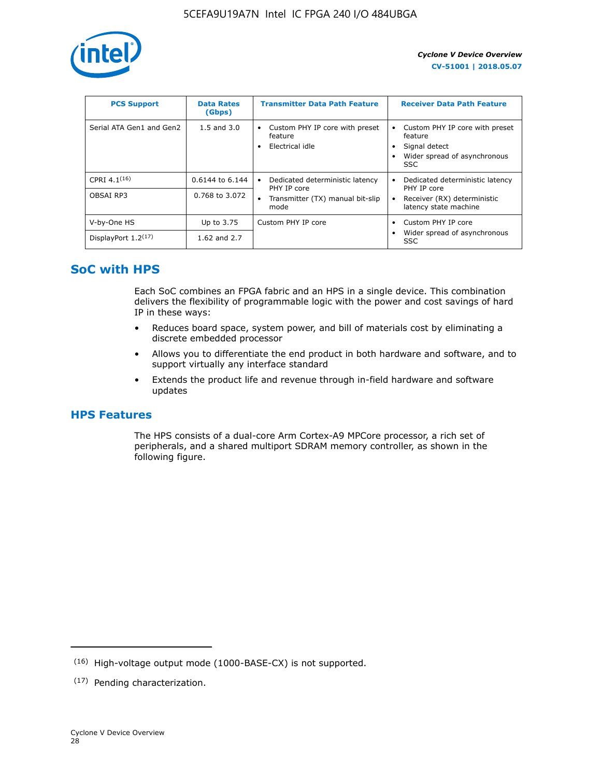

| <b>PCS Support</b>       | <b>Data Rates</b><br>(Gbps) | <b>Transmitter Data Path Feature</b>                         | <b>Receiver Data Path Feature</b>                                                                  |
|--------------------------|-----------------------------|--------------------------------------------------------------|----------------------------------------------------------------------------------------------------|
| Serial ATA Gen1 and Gen2 | $1.5$ and $3.0$             | Custom PHY IP core with preset<br>feature<br>Electrical idle | Custom PHY IP core with preset<br>feature<br>Signal detect<br>Wider spread of asynchronous<br>SSC. |
| CPRI 4.1 $(16)$          | 0.6144 to 6.144             | Dedicated deterministic latency<br>٠<br>PHY IP core          | Dedicated deterministic latency<br>PHY IP core                                                     |
| OBSAI RP3                | 0.768 to 3.072              | Transmitter (TX) manual bit-slip<br>mode                     | Receiver (RX) deterministic<br>latency state machine                                               |
| V-by-One HS              | Up to 3.75                  | Custom PHY IP core                                           | Custom PHY IP core                                                                                 |
| DisplayPort $1.2^{(17)}$ | 1.62 and $2.7$              |                                                              | Wider spread of asynchronous<br><b>SSC</b>                                                         |

### **SoC with HPS**

Each SoC combines an FPGA fabric and an HPS in a single device. This combination delivers the flexibility of programmable logic with the power and cost savings of hard IP in these ways:

- Reduces board space, system power, and bill of materials cost by eliminating a discrete embedded processor
- Allows you to differentiate the end product in both hardware and software, and to support virtually any interface standard
- Extends the product life and revenue through in-field hardware and software updates

### **HPS Features**

The HPS consists of a dual-core Arm Cortex-A9 MPCore processor, a rich set of peripherals, and a shared multiport SDRAM memory controller, as shown in the following figure.

<sup>(16)</sup> High-voltage output mode (1000-BASE-CX) is not supported.

<sup>(17)</sup> Pending characterization.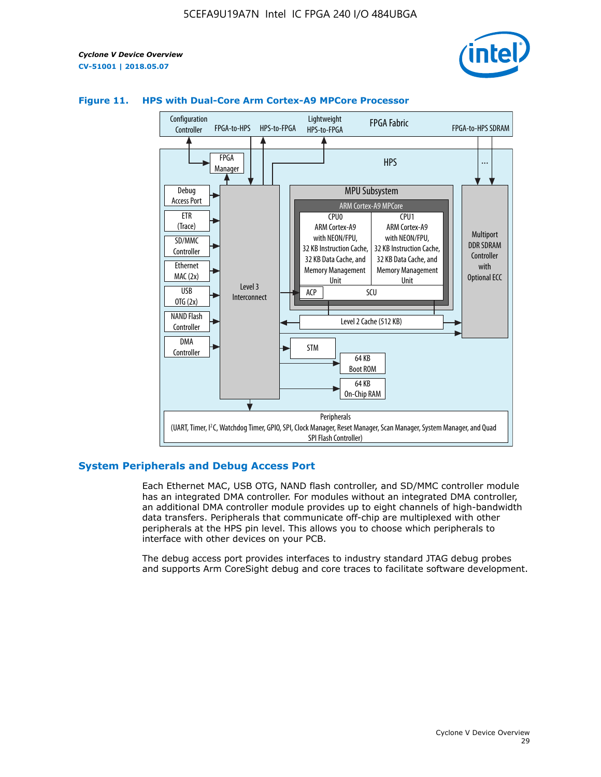



### **Figure 11. HPS with Dual-Core Arm Cortex-A9 MPCore Processor**

### **System Peripherals and Debug Access Port**

Each Ethernet MAC, USB OTG, NAND flash controller, and SD/MMC controller module has an integrated DMA controller. For modules without an integrated DMA controller, an additional DMA controller module provides up to eight channels of high-bandwidth data transfers. Peripherals that communicate off-chip are multiplexed with other peripherals at the HPS pin level. This allows you to choose which peripherals to interface with other devices on your PCB.

The debug access port provides interfaces to industry standard JTAG debug probes and supports Arm CoreSight debug and core traces to facilitate software development.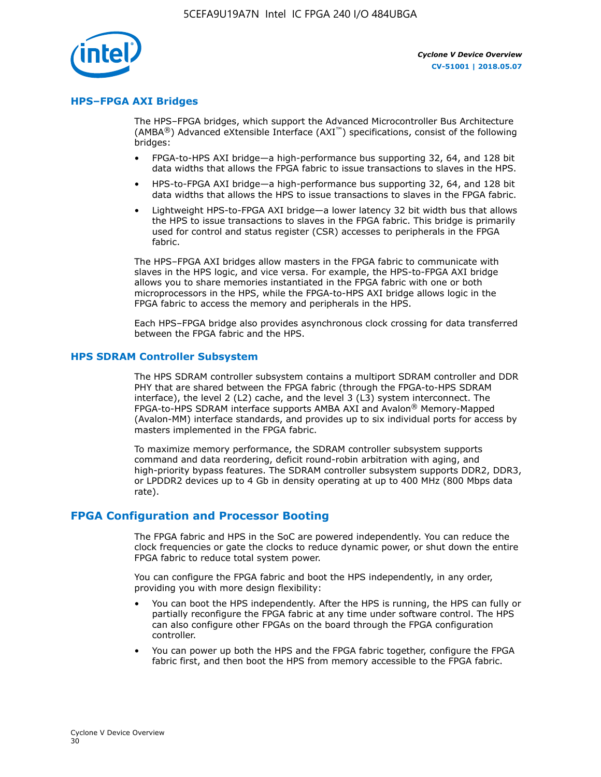

### **HPS–FPGA AXI Bridges**

The HPS–FPGA bridges, which support the Advanced Microcontroller Bus Architecture (AMBA<sup>®</sup>) Advanced eXtensible Interface (AXI<sup>™</sup>) specifications, consist of the following bridges:

- FPGA-to-HPS AXI bridge—a high-performance bus supporting 32, 64, and 128 bit data widths that allows the FPGA fabric to issue transactions to slaves in the HPS.
- HPS-to-FPGA AXI bridge—a high-performance bus supporting 32, 64, and 128 bit data widths that allows the HPS to issue transactions to slaves in the FPGA fabric.
- Lightweight HPS-to-FPGA AXI bridge—a lower latency 32 bit width bus that allows the HPS to issue transactions to slaves in the FPGA fabric. This bridge is primarily used for control and status register (CSR) accesses to peripherals in the FPGA fabric.

The HPS–FPGA AXI bridges allow masters in the FPGA fabric to communicate with slaves in the HPS logic, and vice versa. For example, the HPS-to-FPGA AXI bridge allows you to share memories instantiated in the FPGA fabric with one or both microprocessors in the HPS, while the FPGA-to-HPS AXI bridge allows logic in the FPGA fabric to access the memory and peripherals in the HPS.

Each HPS–FPGA bridge also provides asynchronous clock crossing for data transferred between the FPGA fabric and the HPS.

#### **HPS SDRAM Controller Subsystem**

The HPS SDRAM controller subsystem contains a multiport SDRAM controller and DDR PHY that are shared between the FPGA fabric (through the FPGA-to-HPS SDRAM interface), the level 2 (L2) cache, and the level 3 (L3) system interconnect. The FPGA-to-HPS SDRAM interface supports AMBA AXI and Avalon® Memory-Mapped (Avalon-MM) interface standards, and provides up to six individual ports for access by masters implemented in the FPGA fabric.

To maximize memory performance, the SDRAM controller subsystem supports command and data reordering, deficit round-robin arbitration with aging, and high-priority bypass features. The SDRAM controller subsystem supports DDR2, DDR3, or LPDDR2 devices up to 4 Gb in density operating at up to 400 MHz (800 Mbps data rate).

### **FPGA Configuration and Processor Booting**

The FPGA fabric and HPS in the SoC are powered independently. You can reduce the clock frequencies or gate the clocks to reduce dynamic power, or shut down the entire FPGA fabric to reduce total system power.

You can configure the FPGA fabric and boot the HPS independently, in any order, providing you with more design flexibility:

- You can boot the HPS independently. After the HPS is running, the HPS can fully or partially reconfigure the FPGA fabric at any time under software control. The HPS can also configure other FPGAs on the board through the FPGA configuration controller.
- You can power up both the HPS and the FPGA fabric together, configure the FPGA fabric first, and then boot the HPS from memory accessible to the FPGA fabric.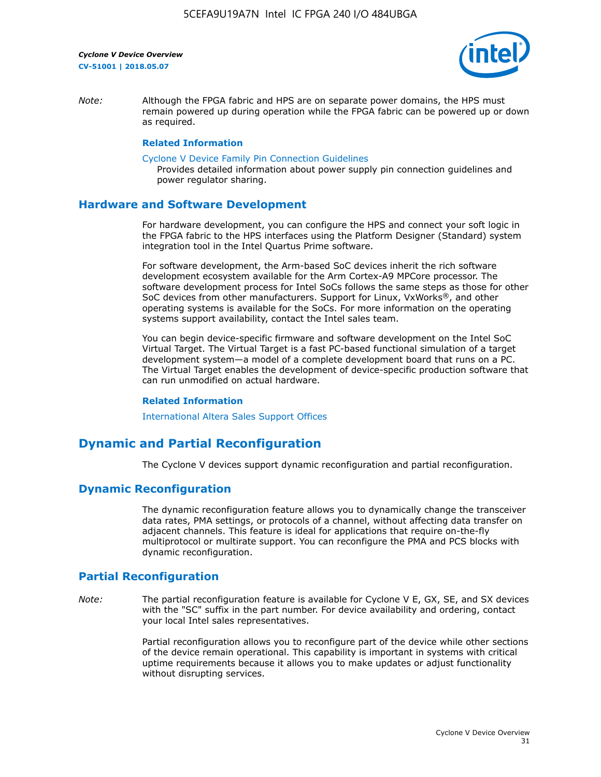

*Note:* Although the FPGA fabric and HPS are on separate power domains, the HPS must remain powered up during operation while the FPGA fabric can be powered up or down as required.

#### **Related Information**

[Cyclone V Device Family Pin Connection Guidelines](https://www.altera.com/content/dam/altera-www/global/en_US/pdfs/literature/dp/cyclone-v/pcg-01014.pdf)

Provides detailed information about power supply pin connection guidelines and power regulator sharing.

### **Hardware and Software Development**

For hardware development, you can configure the HPS and connect your soft logic in the FPGA fabric to the HPS interfaces using the Platform Designer (Standard) system integration tool in the Intel Quartus Prime software.

For software development, the Arm-based SoC devices inherit the rich software development ecosystem available for the Arm Cortex-A9 MPCore processor. The software development process for Intel SoCs follows the same steps as those for other SoC devices from other manufacturers. Support for Linux, VxWorks®, and other operating systems is available for the SoCs. For more information on the operating systems support availability, contact the Intel sales team.

You can begin device-specific firmware and software development on the Intel SoC Virtual Target. The Virtual Target is a fast PC-based functional simulation of a target development system—a model of a complete development board that runs on a PC. The Virtual Target enables the development of device-specific production software that can run unmodified on actual hardware.

#### **Related Information**

[International Altera Sales Support Offices](https://www.altera.com/about/contact/contact/international-altera-sales-offices.html)

### **Dynamic and Partial Reconfiguration**

The Cyclone V devices support dynamic reconfiguration and partial reconfiguration.

### **Dynamic Reconfiguration**

The dynamic reconfiguration feature allows you to dynamically change the transceiver data rates, PMA settings, or protocols of a channel, without affecting data transfer on adjacent channels. This feature is ideal for applications that require on-the-fly multiprotocol or multirate support. You can reconfigure the PMA and PCS blocks with dynamic reconfiguration.

### **Partial Reconfiguration**

*Note:* The partial reconfiguration feature is available for Cyclone V E, GX, SE, and SX devices with the "SC" suffix in the part number. For device availability and ordering, contact your local Intel sales representatives.

> Partial reconfiguration allows you to reconfigure part of the device while other sections of the device remain operational. This capability is important in systems with critical uptime requirements because it allows you to make updates or adjust functionality without disrupting services.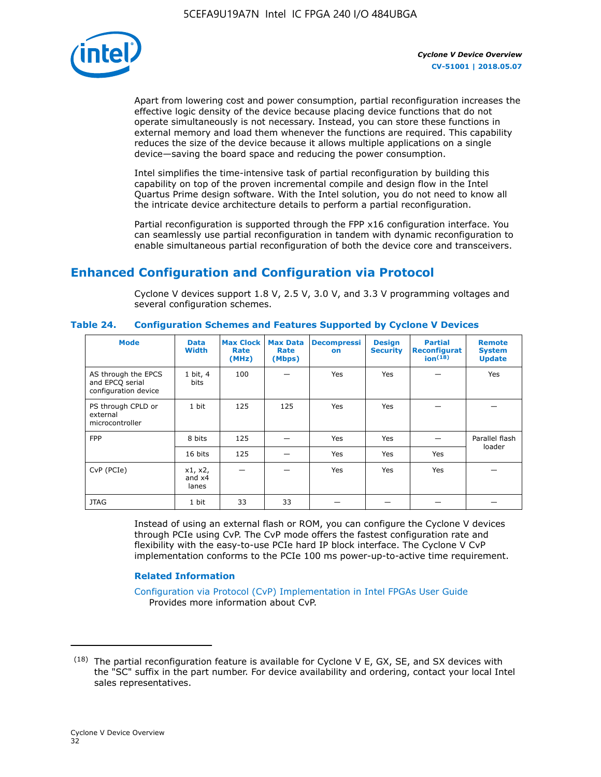

Apart from lowering cost and power consumption, partial reconfiguration increases the effective logic density of the device because placing device functions that do not operate simultaneously is not necessary. Instead, you can store these functions in external memory and load them whenever the functions are required. This capability reduces the size of the device because it allows multiple applications on a single device—saving the board space and reducing the power consumption.

Intel simplifies the time-intensive task of partial reconfiguration by building this capability on top of the proven incremental compile and design flow in the Intel Quartus Prime design software. With the Intel solution, you do not need to know all the intricate device architecture details to perform a partial reconfiguration.

Partial reconfiguration is supported through the FPP x16 configuration interface. You can seamlessly use partial reconfiguration in tandem with dynamic reconfiguration to enable simultaneous partial reconfiguration of both the device core and transceivers.

## **Enhanced Configuration and Configuration via Protocol**

Cyclone V devices support 1.8 V, 2.5 V, 3.0 V, and 3.3 V programming voltages and several configuration schemes.

| <b>Mode</b>                                                    | <b>Data</b><br>Width         | Max Clock  <br>Rate<br>(MHz) | <b>Max Data</b><br>Rate<br>(Mbps) | <b>Decompressi</b><br>on | <b>Design</b><br><b>Security</b> | <b>Partial</b><br><b>Reconfigurat</b><br>ion <sup>(18)</sup> | <b>Remote</b><br><b>System</b><br><b>Update</b> |
|----------------------------------------------------------------|------------------------------|------------------------------|-----------------------------------|--------------------------|----------------------------------|--------------------------------------------------------------|-------------------------------------------------|
| AS through the EPCS<br>and EPCQ serial<br>configuration device | 1 bit, 4<br>bits             | 100                          |                                   | Yes                      | Yes                              |                                                              | Yes                                             |
| PS through CPLD or<br>external<br>microcontroller              | 1 bit                        | 125                          | 125                               | Yes                      | Yes                              |                                                              |                                                 |
| <b>FPP</b>                                                     | 8 bits                       | 125                          |                                   | Yes                      | Yes                              |                                                              | Parallel flash                                  |
|                                                                | 16 bits                      | 125                          |                                   | Yes                      | Yes                              | Yes                                                          | loader                                          |
| CvP (PCIe)                                                     | x1, x2,<br>and $x4$<br>lanes |                              |                                   | Yes                      | Yes                              | Yes                                                          |                                                 |
| <b>JTAG</b>                                                    | 1 bit                        | 33                           | 33                                |                          |                                  |                                                              |                                                 |

**Table 24. Configuration Schemes and Features Supported by Cyclone V Devices**

Instead of using an external flash or ROM, you can configure the Cyclone V devices through PCIe using CvP. The CvP mode offers the fastest configuration rate and flexibility with the easy-to-use PCIe hard IP block interface. The Cyclone V CvP implementation conforms to the PCIe 100 ms power-up-to-active time requirement.

### **Related Information**

[Configuration via Protocol \(CvP\) Implementation in Intel FPGAs User Guide](https://www.altera.com/documentation/nik1412546950394.html#nik1412546833714) Provides more information about CvP.

 $(18)$  The partial reconfiguration feature is available for Cyclone V E, GX, SE, and SX devices with the "SC" suffix in the part number. For device availability and ordering, contact your local Intel sales representatives.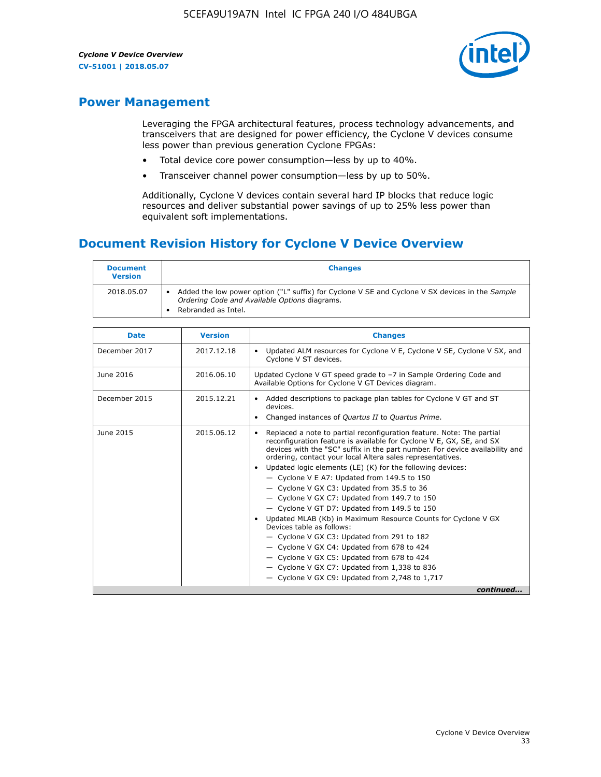

### **Power Management**

Leveraging the FPGA architectural features, process technology advancements, and transceivers that are designed for power efficiency, the Cyclone V devices consume less power than previous generation Cyclone FPGAs:

- Total device core power consumption—less by up to 40%.
- Transceiver channel power consumption—less by up to 50%.

Additionally, Cyclone V devices contain several hard IP blocks that reduce logic resources and deliver substantial power savings of up to 25% less power than equivalent soft implementations.

### **Document Revision History for Cyclone V Device Overview**

| <b>Document</b><br><b>Version</b> | <b>Changes</b>                                                                                                                                                          |
|-----------------------------------|-------------------------------------------------------------------------------------------------------------------------------------------------------------------------|
| 2018.05.07                        | Added the low power option ("L" suffix) for Cyclone V SE and Cyclone V SX devices in the Sample<br>Ordering Code and Available Options diagrams.<br>Rebranded as Intel. |

| <b>Date</b>   | <b>Version</b> | <b>Changes</b>                                                                                                                                                                                                                                                                                                                                                                                                                                                                                                                                                                                                                                                                                                                                                                                                                                                                                                  |
|---------------|----------------|-----------------------------------------------------------------------------------------------------------------------------------------------------------------------------------------------------------------------------------------------------------------------------------------------------------------------------------------------------------------------------------------------------------------------------------------------------------------------------------------------------------------------------------------------------------------------------------------------------------------------------------------------------------------------------------------------------------------------------------------------------------------------------------------------------------------------------------------------------------------------------------------------------------------|
| December 2017 | 2017.12.18     | Updated ALM resources for Cyclone V E, Cyclone V SE, Cyclone V SX, and<br>Cyclone V ST devices.                                                                                                                                                                                                                                                                                                                                                                                                                                                                                                                                                                                                                                                                                                                                                                                                                 |
| June 2016     | 2016.06.10     | Updated Cyclone V GT speed grade to -7 in Sample Ordering Code and<br>Available Options for Cyclone V GT Devices diagram.                                                                                                                                                                                                                                                                                                                                                                                                                                                                                                                                                                                                                                                                                                                                                                                       |
| December 2015 | 2015.12.21     | Added descriptions to package plan tables for Cyclone V GT and ST<br>devices.<br>Changed instances of Quartus II to Quartus Prime.                                                                                                                                                                                                                                                                                                                                                                                                                                                                                                                                                                                                                                                                                                                                                                              |
| June 2015     | 2015.06.12     | Replaced a note to partial reconfiguration feature. Note: The partial<br>reconfiguration feature is available for Cyclone V E, GX, SE, and SX<br>devices with the "SC" suffix in the part number. For device availability and<br>ordering, contact your local Altera sales representatives.<br>Updated logic elements (LE) (K) for the following devices:<br>$\bullet$<br>- Cyclone V E A7: Updated from 149.5 to 150<br>- Cyclone V GX C3: Updated from 35.5 to 36<br>- Cyclone V GX C7: Updated from 149.7 to 150<br>- Cyclone V GT D7: Updated from 149.5 to 150<br>Updated MLAB (Kb) in Maximum Resource Counts for Cyclone V GX<br>Devices table as follows:<br>- Cyclone V GX C3: Updated from 291 to 182<br>- Cyclone V GX C4: Updated from 678 to 424<br>- Cyclone V GX C5: Updated from 678 to 424<br>- Cyclone V GX C7: Updated from 1,338 to 836<br>$-$ Cyclone V GX C9: Updated from 2,748 to 1,717 |
|               |                | continued                                                                                                                                                                                                                                                                                                                                                                                                                                                                                                                                                                                                                                                                                                                                                                                                                                                                                                       |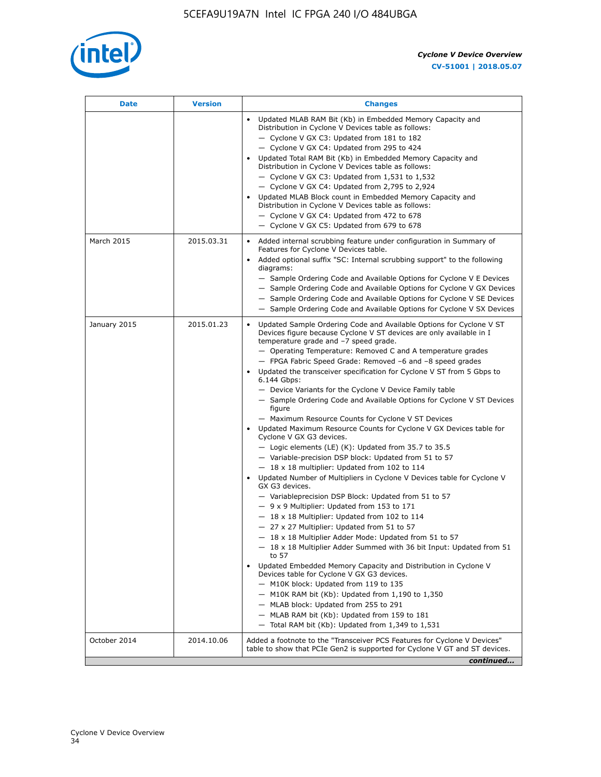

| Date         | <b>Version</b> | <b>Changes</b>                                                                                                                                                                                                                                                                                                                                                                                                                                                                                                                                                                                                                                                                                                                                                                                                                                                                                                                                                                                                                                                                                                                                                                                                                                                                                                                                                                                                                                                                                                                                                                                                                                                                                                  |
|--------------|----------------|-----------------------------------------------------------------------------------------------------------------------------------------------------------------------------------------------------------------------------------------------------------------------------------------------------------------------------------------------------------------------------------------------------------------------------------------------------------------------------------------------------------------------------------------------------------------------------------------------------------------------------------------------------------------------------------------------------------------------------------------------------------------------------------------------------------------------------------------------------------------------------------------------------------------------------------------------------------------------------------------------------------------------------------------------------------------------------------------------------------------------------------------------------------------------------------------------------------------------------------------------------------------------------------------------------------------------------------------------------------------------------------------------------------------------------------------------------------------------------------------------------------------------------------------------------------------------------------------------------------------------------------------------------------------------------------------------------------------|
|              |                | Updated MLAB RAM Bit (Kb) in Embedded Memory Capacity and<br>Distribution in Cyclone V Devices table as follows:<br>- Cyclone V GX C3: Updated from 181 to 182<br>- Cyclone V GX C4: Updated from 295 to 424<br>Updated Total RAM Bit (Kb) in Embedded Memory Capacity and<br>Distribution in Cyclone V Devices table as follows:<br>$-$ Cyclone V GX C3: Updated from 1,531 to 1,532<br>- Cyclone V GX C4: Updated from 2,795 to 2,924<br>Updated MLAB Block count in Embedded Memory Capacity and<br>Distribution in Cyclone V Devices table as follows:<br>- Cyclone V GX C4: Updated from 472 to 678<br>- Cyclone V GX C5: Updated from 679 to 678                                                                                                                                                                                                                                                                                                                                                                                                                                                                                                                                                                                                                                                                                                                                                                                                                                                                                                                                                                                                                                                          |
| March 2015   | 2015.03.31     | Added internal scrubbing feature under configuration in Summary of<br>Features for Cyclone V Devices table.<br>Added optional suffix "SC: Internal scrubbing support" to the following<br>diagrams:<br>- Sample Ordering Code and Available Options for Cyclone V E Devices<br>- Sample Ordering Code and Available Options for Cyclone V GX Devices<br>- Sample Ordering Code and Available Options for Cyclone V SE Devices<br>- Sample Ordering Code and Available Options for Cyclone V SX Devices                                                                                                                                                                                                                                                                                                                                                                                                                                                                                                                                                                                                                                                                                                                                                                                                                                                                                                                                                                                                                                                                                                                                                                                                          |
| January 2015 | 2015.01.23     | Updated Sample Ordering Code and Available Options for Cyclone V ST<br>Devices figure because Cyclone V ST devices are only available in I<br>temperature grade and -7 speed grade.<br>- Operating Temperature: Removed C and A temperature grades<br>- FPGA Fabric Speed Grade: Removed -6 and -8 speed grades<br>Updated the transceiver specification for Cyclone V ST from 5 Gbps to<br>6.144 Gbps:<br>- Device Variants for the Cyclone V Device Family table<br>- Sample Ordering Code and Available Options for Cyclone V ST Devices<br>figure<br>- Maximum Resource Counts for Cyclone V ST Devices<br>• Updated Maximum Resource Counts for Cyclone V GX Devices table for<br>Cyclone V GX G3 devices.<br>$-$ Logic elements (LE) (K): Updated from 35.7 to 35.5<br>- Variable-precision DSP block: Updated from 51 to 57<br>$-18 \times 18$ multiplier: Updated from 102 to 114<br>Updated Number of Multipliers in Cyclone V Devices table for Cyclone V<br>GX G3 devices.<br>- Variableprecision DSP Block: Updated from 51 to 57<br>$-9x9$ Multiplier: Updated from 153 to 171<br>$-18 \times 18$ Multiplier: Updated from 102 to 114<br>- 27 x 27 Multiplier: Updated from 51 to 57<br>- 18 x 18 Multiplier Adder Mode: Updated from 51 to 57<br>$-18 \times 18$ Multiplier Adder Summed with 36 bit Input: Updated from 51<br>to 57<br>Updated Embedded Memory Capacity and Distribution in Cyclone V<br>Devices table for Cyclone V GX G3 devices.<br>- M10K block: Updated from 119 to 135<br>- M10K RAM bit (Kb): Updated from 1,190 to 1,350<br>- MLAB block: Updated from 255 to 291<br>- MLAB RAM bit (Kb): Updated from 159 to 181<br>$-$ Total RAM bit (Kb): Updated from 1,349 to 1,531 |
| October 2014 | 2014.10.06     | Added a footnote to the "Transceiver PCS Features for Cyclone V Devices"<br>table to show that PCIe Gen2 is supported for Cyclone V GT and ST devices.                                                                                                                                                                                                                                                                                                                                                                                                                                                                                                                                                                                                                                                                                                                                                                                                                                                                                                                                                                                                                                                                                                                                                                                                                                                                                                                                                                                                                                                                                                                                                          |
|              |                | continued                                                                                                                                                                                                                                                                                                                                                                                                                                                                                                                                                                                                                                                                                                                                                                                                                                                                                                                                                                                                                                                                                                                                                                                                                                                                                                                                                                                                                                                                                                                                                                                                                                                                                                       |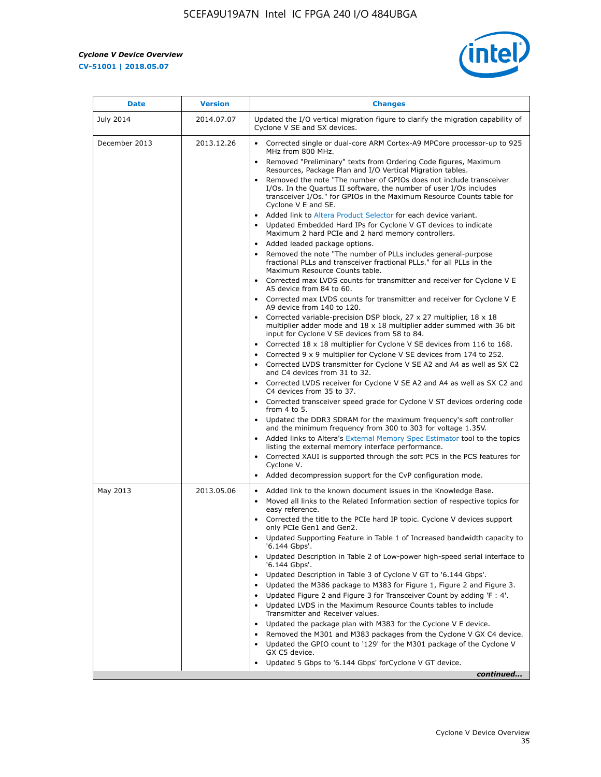$\mathbf{r}$ 



| <b>Date</b>   | <b>Version</b> | <b>Changes</b>                                                                                                                                                                                                                                                                                                                                                                                                                                                                                                                                                                                                                                                                                                                                                                                                                                                                                                                                                                                                                                                                                                                                                                  |
|---------------|----------------|---------------------------------------------------------------------------------------------------------------------------------------------------------------------------------------------------------------------------------------------------------------------------------------------------------------------------------------------------------------------------------------------------------------------------------------------------------------------------------------------------------------------------------------------------------------------------------------------------------------------------------------------------------------------------------------------------------------------------------------------------------------------------------------------------------------------------------------------------------------------------------------------------------------------------------------------------------------------------------------------------------------------------------------------------------------------------------------------------------------------------------------------------------------------------------|
| July 2014     | 2014.07.07     | Updated the I/O vertical migration figure to clarify the migration capability of<br>Cyclone V SE and SX devices.                                                                                                                                                                                                                                                                                                                                                                                                                                                                                                                                                                                                                                                                                                                                                                                                                                                                                                                                                                                                                                                                |
| December 2013 | 2013.12.26     | Corrected single or dual-core ARM Cortex-A9 MPCore processor-up to 925<br>MHz from 800 MHz.<br>Removed "Preliminary" texts from Ordering Code figures, Maximum<br>Resources, Package Plan and I/O Vertical Migration tables.<br>Removed the note "The number of GPIOs does not include transceiver<br>I/Os. In the Quartus II software, the number of user I/Os includes<br>transceiver I/Os." for GPIOs in the Maximum Resource Counts table for<br>Cyclone V E and SE.<br>Added link to Altera Product Selector for each device variant.<br>Updated Embedded Hard IPs for Cyclone V GT devices to indicate<br>Maximum 2 hard PCIe and 2 hard memory controllers.<br>• Added leaded package options.<br>Removed the note "The number of PLLs includes general-purpose<br>fractional PLLs and transceiver fractional PLLs." for all PLLs in the<br>Maximum Resource Counts table.<br>• Corrected max LVDS counts for transmitter and receiver for Cyclone V E<br>A5 device from 84 to 60.<br>• Corrected max LVDS counts for transmitter and receiver for Cyclone V E                                                                                                           |
|               |                | A9 device from 140 to 120.<br>Corrected variable-precision DSP block, 27 x 27 multiplier, 18 x 18<br>multiplier adder mode and 18 x 18 multiplier adder summed with 36 bit<br>input for Cyclone V SE devices from 58 to 84.<br>Corrected 18 x 18 multiplier for Cyclone V SE devices from 116 to 168.<br>Corrected 9 x 9 multiplier for Cyclone V SE devices from 174 to 252.<br>• Corrected LVDS transmitter for Cyclone V SE A2 and A4 as well as SX C2<br>and C4 devices from 31 to 32.<br>• Corrected LVDS receiver for Cyclone V SE A2 and A4 as well as SX C2 and<br>C4 devices from 35 to 37.<br>• Corrected transceiver speed grade for Cyclone V ST devices ordering code<br>from 4 to 5.<br>• Updated the DDR3 SDRAM for the maximum frequency's soft controller<br>and the minimum frequency from 300 to 303 for voltage 1.35V.<br>Added links to Altera's External Memory Spec Estimator tool to the topics<br>listing the external memory interface performance.<br>• Corrected XAUI is supported through the soft PCS in the PCS features for<br>Cyclone V.<br>Added decompression support for the CvP configuration mode.                                        |
| May 2013      | 2013.05.06     | Added link to the known document issues in the Knowledge Base.<br>$\bullet$<br>Moved all links to the Related Information section of respective topics for<br>$\bullet$<br>easy reference.<br>• Corrected the title to the PCIe hard IP topic. Cyclone V devices support<br>only PCIe Gen1 and Gen2.<br>• Updated Supporting Feature in Table 1 of Increased bandwidth capacity to<br>'6.144 Gbps'.<br>Updated Description in Table 2 of Low-power high-speed serial interface to<br>'6.144 Gbps'.<br>Updated Description in Table 3 of Cyclone V GT to '6.144 Gbps'.<br>Updated the M386 package to M383 for Figure 1, Figure 2 and Figure 3.<br>$\bullet$<br>Updated Figure 2 and Figure 3 for Transceiver Count by adding 'F : 4'.<br>$\bullet$<br>Updated LVDS in the Maximum Resource Counts tables to include<br>Transmitter and Receiver values.<br>Updated the package plan with M383 for the Cyclone V E device.<br>Removed the M301 and M383 packages from the Cyclone V GX C4 device.<br>Updated the GPIO count to '129' for the M301 package of the Cyclone V<br>$\bullet$<br>GX C5 device.<br>Updated 5 Gbps to '6.144 Gbps' for Cyclone V GT device.<br>continued |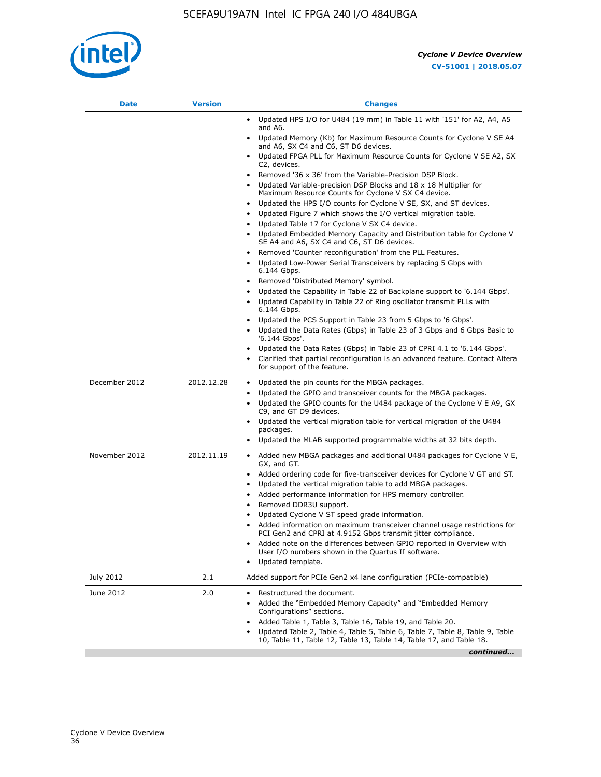

|            | • Updated HPS I/O for U484 (19 mm) in Table 11 with '151' for A2, A4, A5<br>and A6.<br>Updated Memory (Kb) for Maximum Resource Counts for Cyclone V SE A4                                                                                                                                                                                                                                                                                                                                                                                                                                                                                                                                                                                                                                                                                                                                                                                                                                                                                                                                                                     |
|------------|--------------------------------------------------------------------------------------------------------------------------------------------------------------------------------------------------------------------------------------------------------------------------------------------------------------------------------------------------------------------------------------------------------------------------------------------------------------------------------------------------------------------------------------------------------------------------------------------------------------------------------------------------------------------------------------------------------------------------------------------------------------------------------------------------------------------------------------------------------------------------------------------------------------------------------------------------------------------------------------------------------------------------------------------------------------------------------------------------------------------------------|
|            | and A6, SX C4 and C6, ST D6 devices.                                                                                                                                                                                                                                                                                                                                                                                                                                                                                                                                                                                                                                                                                                                                                                                                                                                                                                                                                                                                                                                                                           |
|            | • Updated FPGA PLL for Maximum Resource Counts for Cyclone V SE A2, SX<br>C2, devices.                                                                                                                                                                                                                                                                                                                                                                                                                                                                                                                                                                                                                                                                                                                                                                                                                                                                                                                                                                                                                                         |
|            | • Removed '36 x 36' from the Variable-Precision DSP Block.<br>Updated Variable-precision DSP Blocks and 18 x 18 Multiplier for<br>Maximum Resource Counts for Cyclone V SX C4 device.<br>Updated the HPS I/O counts for Cyclone V SE, SX, and ST devices.<br>Updated Figure 7 which shows the I/O vertical migration table.<br>$\bullet$<br>Updated Table 17 for Cyclone V SX C4 device.<br>• Updated Embedded Memory Capacity and Distribution table for Cyclone V<br>SE A4 and A6, SX C4 and C6, ST D6 devices.<br>Removed 'Counter reconfiguration' from the PLL Features.<br>Updated Low-Power Serial Transceivers by replacing 5 Gbps with<br>6.144 Gbps.<br>Removed 'Distributed Memory' symbol.<br>Updated the Capability in Table 22 of Backplane support to '6.144 Gbps'.<br>Updated Capability in Table 22 of Ring oscillator transmit PLLs with<br>6.144 Gbps.<br>• Updated the PCS Support in Table 23 from 5 Gbps to '6 Gbps'.<br>Updated the Data Rates (Gbps) in Table 23 of 3 Gbps and 6 Gbps Basic to<br>$\bullet$<br>'6.144 Gbps'.<br>Updated the Data Rates (Gbps) in Table 23 of CPRI 4.1 to '6.144 Gbps'. |
|            | Clarified that partial reconfiguration is an advanced feature. Contact Altera<br>for support of the feature.                                                                                                                                                                                                                                                                                                                                                                                                                                                                                                                                                                                                                                                                                                                                                                                                                                                                                                                                                                                                                   |
| 2012.12.28 | • Updated the pin counts for the MBGA packages.<br>Updated the GPIO and transceiver counts for the MBGA packages.<br>Updated the GPIO counts for the U484 package of the Cyclone V E A9, GX<br>C9, and GT D9 devices.<br>Updated the vertical migration table for vertical migration of the U484<br>packages.<br>Updated the MLAB supported programmable widths at 32 bits depth.                                                                                                                                                                                                                                                                                                                                                                                                                                                                                                                                                                                                                                                                                                                                              |
| 2012.11.19 | • Added new MBGA packages and additional U484 packages for Cyclone V E,<br>GX, and GT.<br>• Added ordering code for five-transceiver devices for Cyclone V GT and ST.<br>Updated the vertical migration table to add MBGA packages.<br>• Added performance information for HPS memory controller.<br>Removed DDR3U support.<br>Updated Cyclone V ST speed grade information.<br>Added information on maximum transceiver channel usage restrictions for<br>PCI Gen2 and CPRI at 4.9152 Gbps transmit jitter compliance.<br>Added note on the differences between GPIO reported in Overview with<br>٠<br>User I/O numbers shown in the Quartus II software.<br>Updated template.                                                                                                                                                                                                                                                                                                                                                                                                                                                |
| 2.1        | Added support for PCIe Gen2 x4 lane configuration (PCIe-compatible)                                                                                                                                                                                                                                                                                                                                                                                                                                                                                                                                                                                                                                                                                                                                                                                                                                                                                                                                                                                                                                                            |
| 2.0        | Restructured the document.<br>Added the "Embedded Memory Capacity" and "Embedded Memory<br>Configurations" sections.<br>Added Table 1, Table 3, Table 16, Table 19, and Table 20.<br>Updated Table 2, Table 4, Table 5, Table 6, Table 7, Table 8, Table 9, Table<br>10, Table 11, Table 12, Table 13, Table 14, Table 17, and Table 18.<br>continued                                                                                                                                                                                                                                                                                                                                                                                                                                                                                                                                                                                                                                                                                                                                                                          |
|            |                                                                                                                                                                                                                                                                                                                                                                                                                                                                                                                                                                                                                                                                                                                                                                                                                                                                                                                                                                                                                                                                                                                                |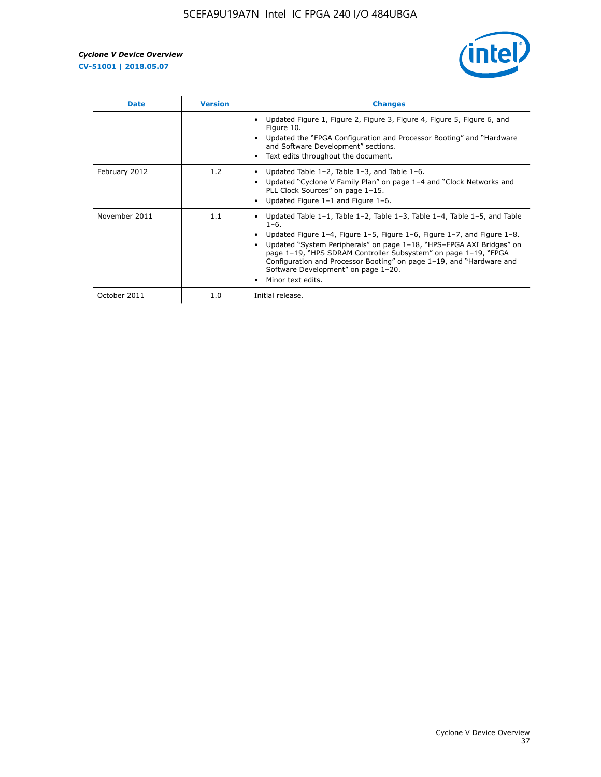

| <b>Date</b>   | <b>Version</b> | <b>Changes</b>                                                                                                                                                                                                                                                                                                                                                                                                                                                                          |
|---------------|----------------|-----------------------------------------------------------------------------------------------------------------------------------------------------------------------------------------------------------------------------------------------------------------------------------------------------------------------------------------------------------------------------------------------------------------------------------------------------------------------------------------|
|               |                | Updated Figure 1, Figure 2, Figure 3, Figure 4, Figure 5, Figure 6, and<br>Figure 10.<br>Updated the "FPGA Configuration and Processor Booting" and "Hardware"<br>and Software Development" sections.<br>Text edits throughout the document.                                                                                                                                                                                                                                            |
| February 2012 | 1.2            | Updated Table $1-2$ , Table $1-3$ , and Table $1-6$ .<br>$\bullet$<br>Updated "Cyclone V Family Plan" on page 1-4 and "Clock Networks and<br>PLL Clock Sources" on page 1-15.<br>Updated Figure 1-1 and Figure 1-6.                                                                                                                                                                                                                                                                     |
| November 2011 | 1.1            | Updated Table $1-1$ , Table $1-2$ , Table $1-3$ , Table $1-4$ , Table $1-5$ , and Table<br>$\bullet$<br>$1 - 6.$<br>Updated Figure 1–4, Figure 1–5, Figure 1–6, Figure 1–7, and Figure 1–8.<br>Updated "System Peripherals" on page 1-18, "HPS-FPGA AXI Bridges" on<br>page 1-19, "HPS SDRAM Controller Subsystem" on page 1-19, "FPGA<br>Configuration and Processor Booting" on page 1-19, and "Hardware and<br>Software Development" on page 1-20.<br>Minor text edits.<br>$\bullet$ |
| October 2011  | 1.0            | Initial release.                                                                                                                                                                                                                                                                                                                                                                                                                                                                        |